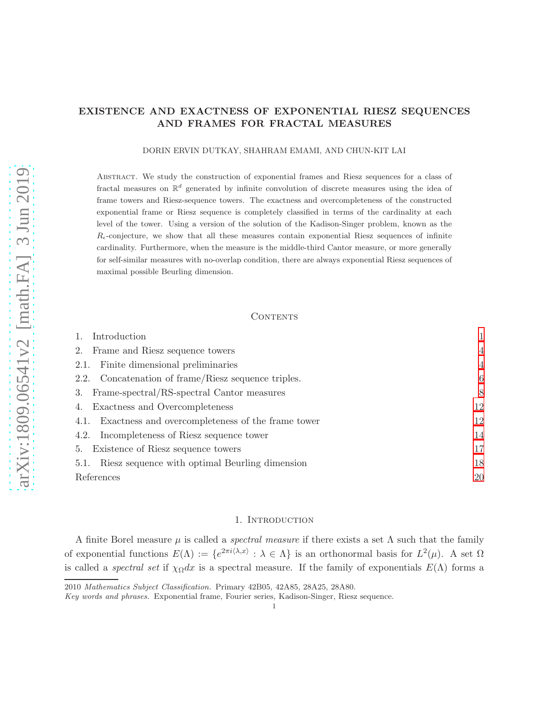## EXISTENCE AND EXACTNESS OF EXPONENTIAL RIESZ SEQUENCES AND FRAMES FOR FRACTAL MEASURES

#### DORIN ERVIN DUTKAY, SHAHRAM EMAMI, AND CHUN-KIT LAI

Abstract. We study the construction of exponential frames and Riesz sequences for a class of fractal measures on  $\mathbb{R}^d$  generated by infinite convolution of discrete measures using the idea of frame towers and Riesz-sequence towers. The exactness and overcompleteness of the constructed exponential frame or Riesz sequence is completely classified in terms of the cardinality at each level of the tower. Using a version of the solution of the Kadison-Singer problem, known as the  $R_{\epsilon}$ -conjecture, we show that all these measures contain exponential Riesz sequences of infinite cardinality. Furthermore, when the measure is the middle-third Cantor measure, or more generally for self-similar measures with no-overlap condition, there are always exponential Riesz sequences of maximal possible Beurling dimension.

## CONTENTS

| Introduction                                              | 1              |
|-----------------------------------------------------------|----------------|
| Frame and Riesz sequence towers<br>2.                     | $\overline{4}$ |
| Finite dimensional preliminaries<br>2.1.                  | $\overline{4}$ |
| 2.2. Concatenation of frame/Riesz sequence triples.       | 6              |
| Frame-spectral/RS-spectral Cantor measures<br>3.          | 8              |
| Exactness and Overcompleteness<br>4.                      | 12             |
| Exactness and overcompleteness of the frame tower<br>4.1. | 12             |
| Incompleteness of Riesz sequence tower<br>4.2.            | 14             |
| Existence of Riesz sequence towers<br>5.                  | 17             |
| Riesz sequence with optimal Beurling dimension<br>5.1.    | 18             |
| References                                                | 20             |

#### 1. INTRODUCTION

<span id="page-0-0"></span>A finite Borel measure  $\mu$  is called a *spectral measure* if there exists a set  $\Lambda$  such that the family of exponential functions  $E(\Lambda) := \{e^{2\pi i \langle \lambda, x \rangle} : \lambda \in \Lambda\}$  is an orthonormal basis for  $L^2(\mu)$ . A set  $\Omega$ is called a *spectral set* if  $\chi_{\Omega}dx$  is a spectral measure. If the family of exponentials  $E(\Lambda)$  forms a

<sup>2010</sup> Mathematics Subject Classification. Primary 42B05, 42A85, 28A25, 28A80.

Key words and phrases. Exponential frame, Fourier series, Kadison-Singer, Riesz sequence.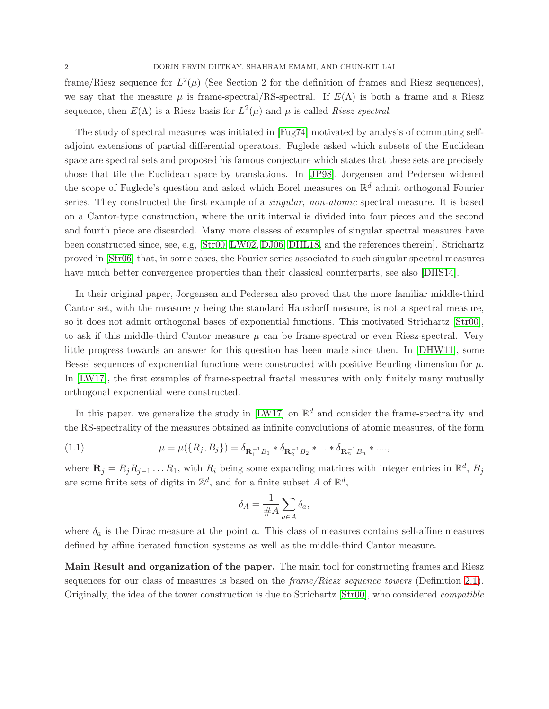frame/Riesz sequence for  $L^2(\mu)$  (See Section 2 for the definition of frames and Riesz sequences), we say that the measure  $\mu$  is frame-spectral/RS-spectral. If  $E(\Lambda)$  is both a frame and a Riesz sequence, then  $E(\Lambda)$  is a Riesz basis for  $L^2(\mu)$  and  $\mu$  is called Riesz-spectral.

The study of spectral measures was initiated in [\[Fug74\]](#page-20-0) motivated by analysis of commuting selfadjoint extensions of partial differential operators. Fuglede asked which subsets of the Euclidean space are spectral sets and proposed his famous conjecture which states that these sets are precisely those that tile the Euclidean space by translations. In [\[JP98\]](#page-20-1), Jorgensen and Pedersen widened the scope of Fuglede's question and asked which Borel measures on  $\mathbb{R}^d$  admit orthogonal Fourier series. They constructed the first example of a *singular*, *non-atomic* spectral measure. It is based on a Cantor-type construction, where the unit interval is divided into four pieces and the second and fourth piece are discarded. Many more classes of examples of singular spectral measures have been constructed since, see, e.g, [\[Str00,](#page-20-2) [LW02,](#page-20-3) [DJ06,](#page-20-4) [DHL18,](#page-19-1) and the references therein]. Strichartz proved in [\[Str06\]](#page-20-5) that, in some cases, the Fourier series associated to such singular spectral measures have much better convergence properties than their classical counterparts, see also [\[DHS14\]](#page-20-6).

In their original paper, Jorgensen and Pedersen also proved that the more familiar middle-third Cantor set, with the measure  $\mu$  being the standard Hausdorff measure, is not a spectral measure, so it does not admit orthogonal bases of exponential functions. This motivated Strichartz [\[Str00\]](#page-20-2), to ask if this middle-third Cantor measure  $\mu$  can be frame-spectral or even Riesz-spectral. Very little progress towards an answer for this question has been made since then. In [\[DHW11\]](#page-20-7), some Bessel sequences of exponential functions were constructed with positive Beurling dimension for  $\mu$ . In [\[LW17\]](#page-20-8), the first examples of frame-spectral fractal measures with only finitely many mutually orthogonal exponential were constructed.

In this paper, we generalize the study in [\[LW17\]](#page-20-8) on  $\mathbb{R}^d$  and consider the frame-spectrality and the RS-spectrality of the measures obtained as infinite convolutions of atomic measures, of the form

(1.1) 
$$
\mu = \mu(\lbrace R_j, B_j \rbrace) = \delta_{\mathbf{R}_1^{-1}B_1} * \delta_{\mathbf{R}_2^{-1}B_2} * ... * \delta_{\mathbf{R}_n^{-1}B_n} * ...
$$

where  $\mathbf{R}_j = R_j R_{j-1} \dots R_1$ , with  $R_i$  being some expanding matrices with integer entries in  $\mathbb{R}^d$ ,  $B_j$ are some finite sets of digits in  $\mathbb{Z}^d$ , and for a finite subset A of  $\mathbb{R}^d$ ,

<span id="page-1-0"></span>
$$
\delta_A = \frac{1}{\#A} \sum_{a \in A} \delta_a,
$$

where  $\delta_a$  is the Dirac measure at the point a. This class of measures contains self-affine measures defined by affine iterated function systems as well as the middle-third Cantor measure.

Main Result and organization of the paper. The main tool for constructing frames and Riesz sequences for our class of measures is based on the  $frame/Riesz$  sequence towers (Definition [2.1\)](#page-3-2). Originally, the idea of the tower construction is due to Strichartz [\[Str00\]](#page-20-2), who considered compatible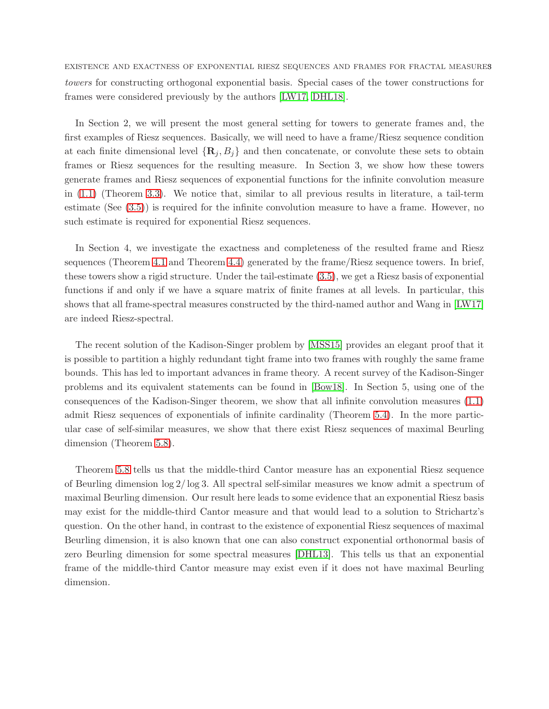EXISTENCE AND EXACTNESS OF EXPONENTIAL RIESZ SEQUENCES AND FRAMES FOR FRACTAL MEASURES towers for constructing orthogonal exponential basis. Special cases of the tower constructions for frames were considered previously by the authors [\[LW17,](#page-20-8) [DHL18\]](#page-19-1).

In Section 2, we will present the most general setting for towers to generate frames and, the first examples of Riesz sequences. Basically, we will need to have a frame/Riesz sequence condition at each finite dimensional level  $\{R_i, B_j\}$  and then concatenate, or convolute these sets to obtain frames or Riesz sequences for the resulting measure. In Section 3, we show how these towers generate frames and Riesz sequences of exponential functions for the infinite convolution measure in [\(1.1\)](#page-1-0) (Theorem 3.3). We notice that, similar to all previous results in literature, a tail-term estimate (See [\(3.5\)](#page-8-0)) is required for the infinite convolution measure to have a frame. However, no such estimate is required for exponential Riesz sequences.

In Section 4, we investigate the exactness and completeness of the resulted frame and Riesz sequences (Theorem [4.1](#page-11-2) and Theorem [4.4\)](#page-14-0) generated by the frame/Riesz sequence towers. In brief, these towers show a rigid structure. Under the tail-estimate [\(3.5\)](#page-8-0), we get a Riesz basis of exponential functions if and only if we have a square matrix of finite frames at all levels. In particular, this shows that all frame-spectral measures constructed by the third-named author and Wang in [\[LW17\]](#page-20-8) are indeed Riesz-spectral.

The recent solution of the Kadison-Singer problem by [\[MSS15\]](#page-20-9) provides an elegant proof that it is possible to partition a highly redundant tight frame into two frames with roughly the same frame bounds. This has led to important advances in frame theory. A recent survey of the Kadison-Singer problems and its equivalent statements can be found in [\[Bow18\]](#page-19-2). In Section 5, using one of the consequences of the Kadison-Singer theorem, we show that all infinite convolution measures [\(1.1\)](#page-1-0) admit Riesz sequences of exponentials of infinite cardinality (Theorem [5.4\)](#page-16-1). In the more particular case of self-similar measures, we show that there exist Riesz sequences of maximal Beurling dimension (Theorem [5.8\)](#page-18-0).

Theorem [5.8](#page-18-0) tells us that the middle-third Cantor measure has an exponential Riesz sequence of Beurling dimension log 2/ log 3. All spectral self-similar measures we know admit a spectrum of maximal Beurling dimension. Our result here leads to some evidence that an exponential Riesz basis may exist for the middle-third Cantor measure and that would lead to a solution to Strichartz's question. On the other hand, in contrast to the existence of exponential Riesz sequences of maximal Beurling dimension, it is also known that one can also construct exponential orthonormal basis of zero Beurling dimension for some spectral measures [\[DHL13\]](#page-19-3). This tells us that an exponential frame of the middle-third Cantor measure may exist even if it does not have maximal Beurling dimension.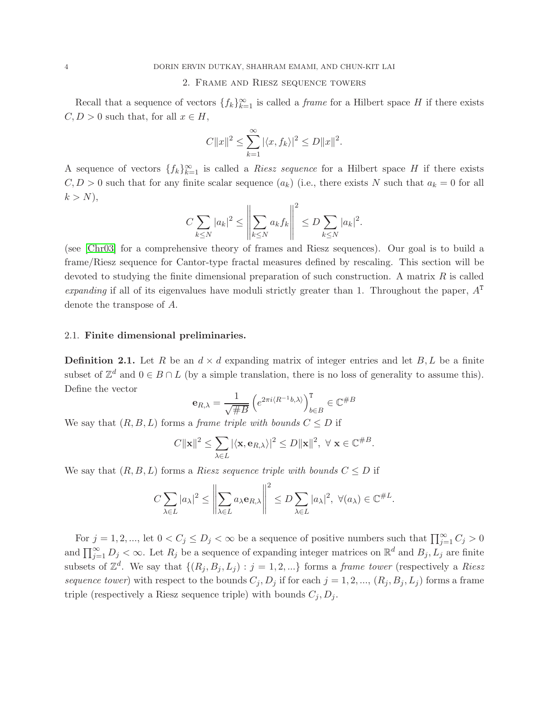## 2. Frame and Riesz sequence towers

<span id="page-3-0"></span>Recall that a sequence of vectors  $\{f_k\}_{k=1}^{\infty}$  is called a *frame* for a Hilbert space H if there exists  $C, D > 0$  such that, for all  $x \in H$ ,

$$
C||x||^{2} \leq \sum_{k=1}^{\infty} |\langle x, f_{k} \rangle|^{2} \leq D||x||^{2}.
$$

A sequence of vectors  $\{f_k\}_{k=1}^{\infty}$  is called a *Riesz sequence* for a Hilbert space H if there exists  $C, D > 0$  such that for any finite scalar sequence  $(a_k)$  (i.e., there exists N such that  $a_k = 0$  for all  $k > N$ ,

$$
C\sum_{k\leq N}|a_k|^2\leq \left\|\sum_{k\leq N}a_kf_k\right\|^2\leq D\sum_{k\leq N}|a_k|^2.
$$

(see [\[Chr03\]](#page-19-4) for a comprehensive theory of frames and Riesz sequences). Our goal is to build a frame/Riesz sequence for Cantor-type fractal measures defined by rescaling. This section will be devoted to studying the finite dimensional preparation of such construction. A matrix  $R$  is called expanding if all of its eigenvalues have moduli strictly greater than 1. Throughout the paper,  $A<sup>T</sup>$ denote the transpose of A.

## <span id="page-3-1"></span>2.1. Finite dimensional preliminaries.

<span id="page-3-2"></span>**Definition 2.1.** Let R be an  $d \times d$  expanding matrix of integer entries and let B, L be a finite subset of  $\mathbb{Z}^d$  and  $0 \in B \cap L$  (by a simple translation, there is no loss of generality to assume this). Define the vector

$$
\mathbf{e}_{R,\lambda}=\frac{1}{\sqrt{\#B}}\left(e^{2\pi i \langle R^{-1}b,\lambda\rangle}\right)_{b\in B}^{\mathtt{T}}\in\mathbb{C}^{\#B}
$$

We say that  $(R, B, L)$  forms a *frame triple with bounds*  $C \leq D$  if

$$
C||\mathbf{x}||^2 \leq \sum_{\lambda \in L} |\langle \mathbf{x}, \mathbf{e}_{R,\lambda} \rangle|^2 \leq D||\mathbf{x}||^2, \ \forall \ \mathbf{x} \in \mathbb{C}^{\#B}.
$$

We say that  $(R, B, L)$  forms a Riesz sequence triple with bounds  $C \leq D$  if

$$
C\sum_{\lambda\in L}|a_{\lambda}|^{2}\leq\left\|\sum_{\lambda\in L}a_{\lambda}\mathbf{e}_{R,\lambda}\right\|^{2}\leq D\sum_{\lambda\in L}|a_{\lambda}|^{2},\ \forall (a_{\lambda})\in\mathbb{C}^{\#L}.
$$

 $\alpha$ 

For  $j = 1, 2, \dots$ , let  $0 < C_j \le D_j < \infty$  be a sequence of positive numbers such that  $\prod_{j=1}^{\infty} C_j > 0$ and  $\prod_{j=1}^{\infty} D_j < \infty$ . Let  $R_j$  be a sequence of expanding integer matrices on  $\mathbb{R}^d$  and  $B_j, L_j$  are finite subsets of  $\mathbb{Z}^d$ . We say that  $\{(R_j, B_j, L_j) : j = 1, 2, ...\}$  forms a *frame tower* (respectively a *Riesz* sequence tower) with respect to the bounds  $C_j, D_j$  if for each  $j = 1, 2, ..., (R_j, B_j, L_j)$  forms a frame triple (respectively a Riesz sequence triple) with bounds  $C_j, D_j$ .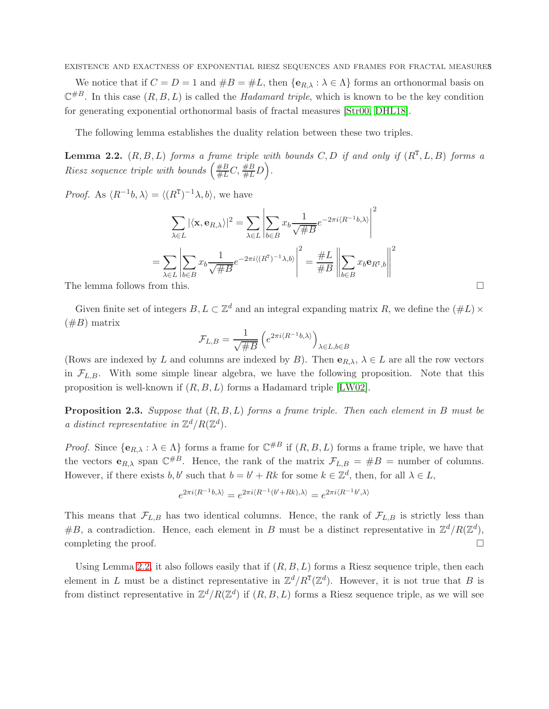EXISTENCE AND EXACTNESS OF EXPONENTIAL RIESZ SEQUENCES AND FRAMES FOR FRACTAL MEASURES

We notice that if  $C = D = 1$  and  $\#B = \#L$ , then  $\{e_{R,\lambda} : \lambda \in \Lambda\}$  forms an orthonormal basis on  $\mathbb{C}^{\#B}$ . In this case  $(R, B, L)$  is called the *Hadamard triple*, which is known to be the key condition for generating exponential orthonormal basis of fractal measures [\[Str00,](#page-20-2) [DHL18\]](#page-19-1).

The following lemma establishes the duality relation between these two triples.

<span id="page-4-0"></span>**Lemma 2.2.**  $(R, B, L)$  forms a frame triple with bounds C, D if and only if  $(R<sup>T</sup>, L, B)$  forms a Riesz sequence triple with bounds  $\left(\frac{\#B}{\#L}C,\frac{\#B}{\#L}D\right)$ .

*Proof.* As  $\langle R^{-1}b, \lambda \rangle = \langle (R^{T})^{-1}\lambda, b \rangle$ , we have

$$
\sum_{\lambda \in L} |\langle \mathbf{x}, \mathbf{e}_{R,\lambda} \rangle|^2 = \sum_{\lambda \in L} \left| \sum_{b \in B} x_b \frac{1}{\sqrt{\#B}} e^{-2\pi i \langle R^{-1}b, \lambda \rangle} \right|^2
$$

$$
= \sum_{\lambda \in L} \left| \sum_{b \in B} x_b \frac{1}{\sqrt{\#B}} e^{-2\pi i \langle (R^{\mathsf{T}})^{-1} \lambda, b \rangle} \right|^2 = \frac{\#L}{\#B} \left\| \sum_{b \in B} x_b \mathbf{e}_{R^{\mathsf{T}},b} \right\|^2
$$
The lemma follows from this.

Given finite set of integers  $B, L \subset \mathbb{Z}^d$  and an integral expanding matrix R, we define the  $(\#L) \times$  $(\#B)$  matrix

$$
\mathcal{F}_{L,B} = \frac{1}{\sqrt{\#B}} \left( e^{2\pi i \langle R^{-1}b,\lambda\rangle} \right)_{\lambda \in L,b \in B}
$$

(Rows are indexed by L and columns are indexed by B). Then  $e_{R,\lambda}$ ,  $\lambda \in L$  are all the row vectors in  $\mathcal{F}_{L,B}$ . With some simple linear algebra, we have the following proposition. Note that this proposition is well-known if  $(R, B, L)$  forms a Hadamard triple [LW02].

<span id="page-4-1"></span>**Proposition 2.3.** Suppose that  $(R, B, L)$  forms a frame triple. Then each element in B must be a distinct representative in  $\mathbb{Z}^d/R(\mathbb{Z}^d)$ .

*Proof.* Since  $\{e_{R,\lambda} : \lambda \in \Lambda\}$  forms a frame for  $\mathbb{C}^{\#B}$  if  $(R, B, L)$  forms a frame triple, we have that the vectors  $\mathbf{e}_{R,\lambda}$  span  $\mathbb{C}^{\#B}$ . Hence, the rank of the matrix  $\mathcal{F}_{L,B} = \#B$  = number of columns. However, if there exists  $b, b'$  such that  $b = b' + Rk$  for some  $k \in \mathbb{Z}^d$ , then, for all  $\lambda \in L$ ,

$$
e^{2\pi i \langle R^{-1}b,\lambda\rangle}=e^{2\pi i \langle R^{-1}(b'+Rk),\lambda\rangle}=e^{2\pi i \langle R^{-1}b',\lambda\rangle}
$$

This means that  $\mathcal{F}_{L,B}$  has two identical columns. Hence, the rank of  $\mathcal{F}_{L,B}$  is strictly less than #B, a contradiction. Hence, each element in B must be a distinct representative in  $\mathbb{Z}^d/R(\mathbb{Z}^d)$ , completing the proof.  $\Box$ 

Using Lemma [2.2,](#page-4-0) it also follows easily that if  $(R, B, L)$  forms a Riesz sequence triple, then each element in L must be a distinct representative in  $\mathbb{Z}^d/R^T(\mathbb{Z}^d)$ . However, it is not true that B is from distinct representative in  $\mathbb{Z}^d/R(\mathbb{Z}^d)$  if  $(R, B, L)$  forms a Riesz sequence triple, as we will see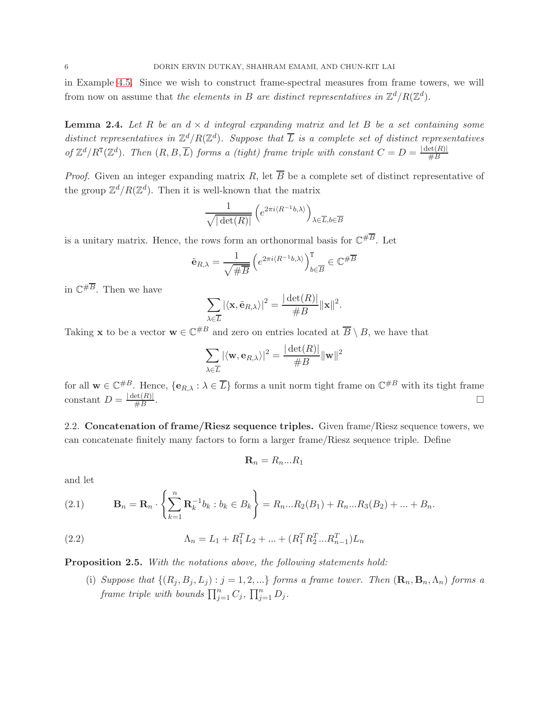in Example [4.5.](#page-15-0) Since we wish to construct frame-spectral measures from frame towers, we will from now on assume that the elements in B are distinct representatives in  $\mathbb{Z}^d/R(\mathbb{Z}^d)$ .

<span id="page-5-4"></span>**Lemma 2.4.** Let R be an  $d \times d$  integral expanding matrix and let B be a set containing some distinct representatives in  $\mathbb{Z}^d/R(\mathbb{Z}^d)$ . Suppose that  $\overline{L}$  is a complete set of distinct representatives of  $\mathbb{Z}^d/R^T(\mathbb{Z}^d)$ . Then  $(R, B, \overline{L})$  forms a (tight) frame triple with constant  $C = D = \frac{|\det(R)|}{\#B}$ 

*Proof.* Given an integer expanding matrix R, let  $\overline{B}$  be a complete set of distinct representative of the group  $\mathbb{Z}^d/R(\mathbb{Z}^d)$ . Then it is well-known that the matrix

$$
\frac{1}{\sqrt{|\det(R)|}} \left( e^{2\pi i \langle R^{-1}b, \lambda \rangle} \right)_{\lambda \in \overline{L}, b \in \overline{B}}
$$

is a unitary matrix. Hence, the rows form an orthonormal basis for  $\mathbb{C}^{\# \overline{B}}$ . Let

$$
\tilde{\mathbf{e}}_{R,\lambda} = \frac{1}{\sqrt{\#\overline{B}}} \left( e^{2\pi i \langle R^{-1}b, \lambda \rangle} \right)_{b \in \overline{B}}^{\mathtt{T}} \in \mathbb{C}^{\#\overline{B}}
$$

in  $\mathbb{C}^{\# \overline{B}}$ . Then we have

$$
\sum_{\lambda \in \overline{L}} |\langle \mathbf{x}, \tilde{\mathbf{e}}_{R,\lambda} \rangle|^2 = \frac{|\det(R)|}{\#B} ||\mathbf{x}||^2.
$$

Taking **x** to be a vector  $\mathbf{w} \in \mathbb{C}^{*B}$  and zero on entries located at  $\overline{B} \setminus B$ , we have that

$$
\sum_{\lambda \in \overline{L}} |\langle \mathbf{w}, \mathbf{e}_{R,\lambda} \rangle|^2 = \frac{|\det(R)|}{\#B} ||\mathbf{w}||^2
$$

for all  $\mathbf{w} \in \mathbb{C}^{\#B}$ . Hence,  $\{\mathbf{e}_{R,\lambda} : \lambda \in \overline{L}\}$  forms a unit norm tight frame on  $\mathbb{C}^{\#B}$  with its tight frame constant  $D = \frac{|\det(R)|}{\#B}$ . In the contract of the contract of the contract of the contract of the contract of the contract of the contract of

<span id="page-5-0"></span>2.2. Concatenation of frame/Riesz sequence triples. Given frame/Riesz sequence towers, we can concatenate finitely many factors to form a larger frame/Riesz sequence triple. Define

<span id="page-5-2"></span>
$$
\mathbf{R}_n = R_n...R_1
$$

and let

<span id="page-5-1"></span>(2.1) 
$$
\mathbf{B}_n = \mathbf{R}_n \cdot \left\{ \sum_{k=1}^n \mathbf{R}_k^{-1} b_k : b_k \in B_k \right\} = R_n ... R_2(B_1) + R_n ... R_3(B_2) + ... + B_n.
$$

(2.2) 
$$
\Lambda_n = L_1 + R_1^T L_2 + \dots + (R_1^T R_2^T \dots R_{n-1}^T) L_n
$$

<span id="page-5-3"></span>Proposition 2.5. With the notations above, the following statements hold:

(i) Suppose that  $\{(R_j, B_j, L_j) : j = 1, 2, ...\}$  forms a frame tower. Then  $(\mathbf{R}_n, \mathbf{B}_n, \Lambda_n)$  forms a frame triple with bounds  $\prod_{j=1}^n C_j$ ,  $\prod_{j=1}^n D_j$ .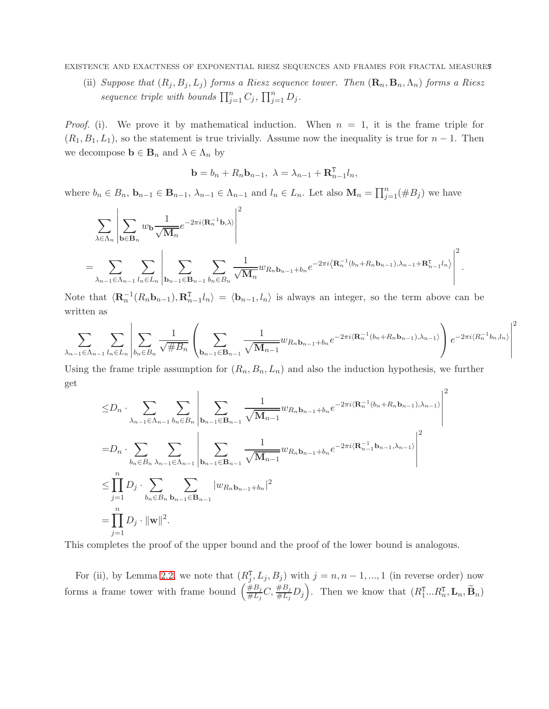EXISTENCE AND EXACTNESS OF EXPONENTIAL RIESZ SEQUENCES AND FRAMES FOR FRACTAL MEASURES7

(ii) Suppose that  $(R_j, B_j, L_j)$  forms a Riesz sequence tower. Then  $(\mathbf{R}_n, \mathbf{B}_n, \Lambda_n)$  forms a Riesz sequence triple with bounds  $\prod_{j=1}^n C_j$ ,  $\prod_{j=1}^n D_j$ .

*Proof.* (i). We prove it by mathematical induction. When  $n = 1$ , it is the frame triple for  $(R_1, B_1, L_1)$ , so the statement is true trivially. Assume now the inequality is true for  $n-1$ . Then we decompose  $\mathbf{b} \in \mathbf{B}_n$  and  $\lambda \in \Lambda_n$  by

$$
\mathbf{b} = b_n + R_n \mathbf{b}_{n-1}, \ \lambda = \lambda_{n-1} + \mathbf{R}_{n-1}^{\mathrm{T}} l_n,
$$

where  $b_n \in B_n$ ,  $\mathbf{b}_{n-1} \in \mathbf{B}_{n-1}$ ,  $\lambda_{n-1} \in \Lambda_{n-1}$  and  $l_n \in L_n$ . Let also  $\mathbf{M}_n = \prod_{j=1}^n (\#B_j)$  we have

$$
\sum_{\lambda \in \Lambda_n} \left| \sum_{\mathbf{b} \in \mathbf{B}_n} w_{\mathbf{b}} \frac{1}{\sqrt{\mathbf{M}_n}} e^{-2\pi i \langle \mathbf{R}_n^{-1} \mathbf{b}, \lambda \rangle} \right|^2
$$
\n
$$
= \sum_{\lambda_{n-1} \in \Lambda_{n-1}} \sum_{l_n \in L_n} \left| \sum_{\mathbf{b}_{n-1} \in \mathbf{B}_{n-1}} \sum_{b_n \in B_n} \frac{1}{\sqrt{\mathbf{M}_n}} w_{R_n \mathbf{b}_{n-1} + b_n} e^{-2\pi i \langle \mathbf{R}_n^{-1} (b_n + R_n b_{n-1}), \lambda_{n-1} + \mathbf{R}_{n-1}^{\mathrm{T}} l_n \rangle} \right|^2.
$$

Note that  $\langle \mathbf{R}_n^{-1}(R_n \mathbf{b}_{n-1}), \mathbf{R}_{n-1}^{\mathsf{T}}l_n \rangle = \langle \mathbf{b}_{n-1}, l_n \rangle$  is always an integer, so the term above can be written as

$$
\sum_{\lambda_{n-1}\in\Lambda_{n-1}}\sum_{l_n\in L_n}\left|\sum_{b_n\in B_n}\frac{1}{\sqrt{\#B_n}}\left(\sum_{\mathbf{b}_{n-1}\in\mathbf{B}_{n-1}}\frac{1}{\sqrt{\mathbf{M}_{n-1}}}w_{R_n\mathbf{b}_{n-1}+b_n}e^{-2\pi i\langle\mathbf{R}^{-1}_n(b_n+R_nb_{n-1}),\lambda_{n-1}\rangle}\right)e^{-2\pi i\langle R^{-1}_nb_n,l_n\rangle}\right|^2
$$

Using the frame triple assumption for  $(R_n, B_n, L_n)$  and also the induction hypothesis, we further get

$$
\leq D_n \cdot \sum_{\lambda_{n-1} \in \Lambda_{n-1}} \sum_{b_n \in B_n} \left| \sum_{\mathbf{b}_{n-1} \in \mathbf{B}_{n-1}} \frac{1}{\sqrt{\mathbf{M}_{n-1}}} w_{R_n \mathbf{b}_{n-1} + b_n} e^{-2\pi i (\mathbf{R}_n^{-1} (b_n + R_n \mathbf{b}_{n-1}), \lambda_{n-1})} \right|^2
$$
  
\n
$$
= D_n \cdot \sum_{b_n \in B_n} \sum_{\lambda_{n-1} \in \Lambda_{n-1}} \left| \sum_{\mathbf{b}_{n-1} \in \mathbf{B}_{n-1}} \frac{1}{\sqrt{\mathbf{M}_{n-1}}} w_{R_n \mathbf{b}_{n-1} + b_n} e^{-2\pi i (\mathbf{R}_n^{-1} \mathbf{b}_{n-1}, \lambda_{n-1})} \right|^2
$$
  
\n
$$
\leq \prod_{j=1}^n D_j \cdot \sum_{b_n \in B_n} \sum_{\mathbf{b}_{n-1} \in \mathbf{B}_{n-1}} |w_{R_n \mathbf{b}_{n-1} + b_n}|^2
$$
  
\n
$$
= \prod_{j=1}^n D_j \cdot ||\mathbf{w}||^2.
$$

This completes the proof of the upper bound and the proof of the lower bound is analogous.

For (ii), by Lemma [2.2,](#page-4-0) we note that  $(R_j^{\text{T}}, L_j, B_j)$  with  $j = n, n - 1, ..., 1$  (in reverse order) now forms a frame tower with frame bound  $\left(\frac{\#B_j}{\#L}\right)$  $\frac{\partial H}{\partial t} B_j C$ ,  $\frac{\partial H}{\partial t} D_j$ . Then we know that  $(R_1^{\text{T}}...R_n^{\text{T}}, \text{L}_n, \widetilde{\text{B}}_n)$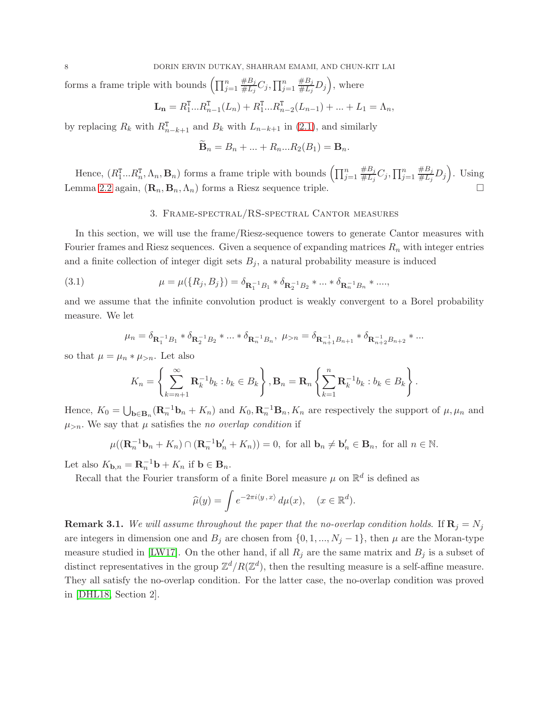forms a frame triple with bounds  $\left(\prod_{j=1}^n\right)$  $#B_j$  $\frac{\#B_j}{\#L_j}C_j, \prod_{j=1}^n$  $#B_j$  $_{\overline{\#L_j}}^{\overline{\#B_j}}D_j$ , where

$$
\mathbf{L}_{n} = R_{1}^{\mathrm{T}}...R_{n-1}^{\mathrm{T}}(L_{n}) + R_{1}^{\mathrm{T}}...R_{n-2}^{\mathrm{T}}(L_{n-1}) + ... + L_{1} = \Lambda_{n},
$$

by replacing  $R_k$  with  $R_{n-k+1}$  and  $B_k$  with  $L_{n-k+1}$  in [\(2.1\)](#page-5-1), and similarly

$$
\mathbf{B}_n = B_n + \dots + R_n ... R_2(B_1) = \mathbf{B}_n.
$$

<span id="page-7-0"></span>Hence,  $(R_1^{\text{T}}...R_n^{\text{T}},\Lambda_n,\mathbf{B}_n)$  forms a frame triple with bounds  $\left(\prod_{j=1}^n\Lambda_j\right)$  $#B_j$  $\frac{\#B_j}{\#L_j}C_j, \prod_{j=1}^n$  $#B_j$  $H_{\overline{\mu}L_j}^{\#B_j}D_j$ . Using Lemma [2.2](#page-4-0) again,  $(\mathbf{R}_n, \mathbf{B}_n, \Lambda_n)$  forms a Riesz sequence triple.

## <span id="page-7-1"></span>3. Frame-spectral/RS-spectral Cantor measures

In this section, we will use the frame/Riesz-sequence towers to generate Cantor measures with Fourier frames and Riesz sequences. Given a sequence of expanding matrices  $R_n$  with integer entries and a finite collection of integer digit sets  $B_j$ , a natural probability measure is induced

(3.1) 
$$
\mu = \mu(\lbrace R_j, B_j \rbrace) = \delta_{\mathbf{R}_1^{-1}B_1} * \delta_{\mathbf{R}_2^{-1}B_2} * ... * \delta_{\mathbf{R}_n^{-1}B_n} * ...
$$

and we assume that the infinite convolution product is weakly convergent to a Borel probability measure. We let

$$
\mu_n=\delta_{\mathbf{R}_1^{-1}B_1}*\delta_{\mathbf{R}_2^{-1}B_2}*\ldots*\delta_{\mathbf{R}_n^{-1}B_n},\ \mu_{>n}=\delta_{\mathbf{R}_{n+1}^{-1}B_{n+1}}*\delta_{\mathbf{R}_{n+2}^{-1}B_{n+2}}*\ldots
$$

so that  $\mu = \mu_n * \mu_{>n}$ . Let also

$$
K_n = \left\{\sum_{k=n+1}^{\infty} \mathbf{R}_k^{-1} b_k : b_k \in B_k\right\}, \mathbf{B}_n = \mathbf{R}_n \left\{\sum_{k=1}^n \mathbf{R}_k^{-1} b_k : b_k \in B_k\right\}.
$$

Hence,  $K_0 = \bigcup_{\mathbf{b} \in \mathbf{B}_n} (\mathbf{R}_n^{-1} \mathbf{b}_n + K_n)$  and  $K_0, \mathbf{R}_n^{-1} \mathbf{B}_n, K_n$  are respectively the support of  $\mu, \mu_n$  and  $\mu_{>n}$ . We say that  $\mu$  satisfies the no overlap condition if

$$
\mu((\mathbf{R}_n^{-1}\mathbf{b}_n + K_n) \cap (\mathbf{R}_n^{-1}\mathbf{b}_n' + K_n)) = 0, \text{ for all } \mathbf{b}_n \neq \mathbf{b}_n' \in \mathbf{B}_n, \text{ for all } n \in \mathbb{N}.
$$

Let also  $K_{\mathbf{b},n} = \mathbf{R}_n^{-1} \mathbf{b} + K_n$  if  $\mathbf{b} \in \mathbf{B}_n$ .

Recall that the Fourier transform of a finite Borel measure  $\mu$  on  $\mathbb{R}^d$  is defined as

$$
\widehat{\mu}(y) = \int e^{-2\pi i \langle y, x \rangle} \, d\mu(x), \quad (x \in \mathbb{R}^d).
$$

**Remark 3.1.** We will assume throughout the paper that the no-overlap condition holds. If  $\mathbf{R}_j = N_j$ are integers in dimension one and  $B_j$  are chosen from  $\{0, 1, ..., N_j - 1\}$ , then  $\mu$  are the Moran-type measure studied in [\[LW17\]](#page-20-8). On the other hand, if all  $R_j$  are the same matrix and  $B_j$  is a subset of distinct representatives in the group  $\mathbb{Z}^d/R(\mathbb{Z}^d)$ , then the resulting measure is a self-affine measure. They all satisfy the no-overlap condition. For the latter case, the no-overlap condition was proved in [\[DHL18,](#page-19-1) Section 2].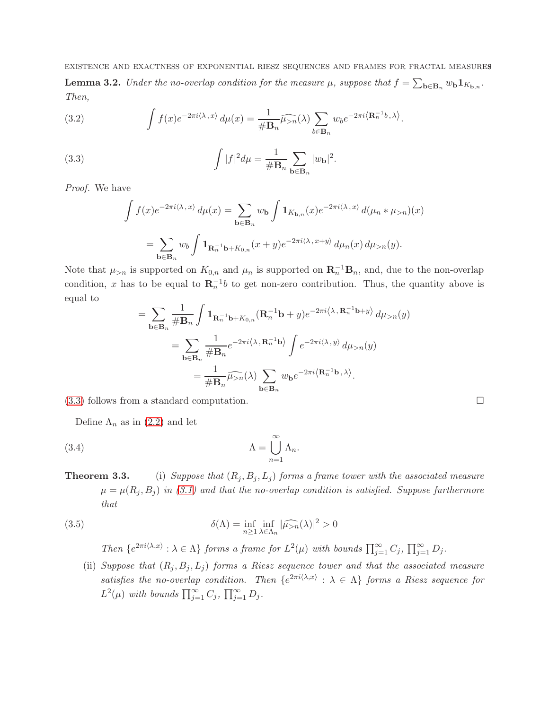<span id="page-8-3"></span>EXISTENCE AND EXACTNESS OF EXPONENTIAL RIESZ SEQUENCES AND FRAMES FOR FRACTAL MEASURES9 **Lemma 3.2.** Under the no-overlap condition for the measure  $\mu$ , suppose that  $f = \sum_{\mathbf{b} \in \mathbf{B}_n} w_{\mathbf{b}} \mathbf{1}_{K_{\mathbf{b},n}}$ . Then,

<span id="page-8-2"></span>(3.2) 
$$
\int f(x)e^{-2\pi i \langle \lambda, x \rangle} d\mu(x) = \frac{1}{\# \mathbf{B}_n} \widehat{\mu_{>n}}(\lambda) \sum_{b \in \mathbf{B}_n} w_b e^{-2\pi i \langle \mathbf{R}_n^{-1}b, \lambda \rangle}.
$$

(3.3) 
$$
\int |f|^2 d\mu = \frac{1}{\# \mathbf{B}_n} \sum_{\mathbf{b} \in \mathbf{B}_n} |w_{\mathbf{b}}|^2.
$$

Proof. We have

<span id="page-8-1"></span>
$$
\int f(x)e^{-2\pi i \langle \lambda, x \rangle} d\mu(x) = \sum_{\mathbf{b} \in \mathbf{B}_n} w_{\mathbf{b}} \int \mathbf{1}_{K_{\mathbf{b},n}}(x)e^{-2\pi i \langle \lambda, x \rangle} d(\mu_n * \mu_{>n})(x)
$$

$$
= \sum_{\mathbf{b} \in \mathbf{B}_n} w_{b} \int \mathbf{1}_{\mathbf{R}_n^{-1} \mathbf{b} + K_{0,n}}(x+y)e^{-2\pi i \langle \lambda, x+y \rangle} d\mu_n(x) d\mu_{>n}(y).
$$

Note that  $\mu_{>n}$  is supported on  $K_{0,n}$  and  $\mu_n$  is supported on  $\mathbf{R}_n^{-1} \mathbf{B}_n$ , and, due to the non-overlap condition, x has to be equal to  $\mathbf{R}_n^{-1}b$  to get non-zero contribution. Thus, the quantity above is equal to

$$
= \sum_{\mathbf{b}\in\mathbf{B}_n} \frac{1}{\# \mathbf{B}_n} \int \mathbf{1}_{\mathbf{R}_n^{-1}\mathbf{b} + K_{0,n}} (\mathbf{R}_n^{-1}\mathbf{b} + y) e^{-2\pi i \langle \lambda, \mathbf{R}_n^{-1}\mathbf{b} + y \rangle} d\mu_{>n}(y)
$$
  

$$
= \sum_{\mathbf{b}\in\mathbf{B}_n} \frac{1}{\# \mathbf{B}_n} e^{-2\pi i \langle \lambda, \mathbf{R}_n^{-1}\mathbf{b} \rangle} \int e^{-2\pi i \langle \lambda, y \rangle} d\mu_{>n}(y)
$$
  

$$
= \frac{1}{\# \mathbf{B}_n} \widehat{\mu_{>n}}(\lambda) \sum_{\mathbf{b}\in\mathbf{B}_n} w_{\mathbf{b}} e^{-2\pi i \langle \mathbf{R}_n^{-1}\mathbf{b}, \lambda \rangle}.
$$

[\(3.3\)](#page-8-1) follows from a standard computation.

Define  $\Lambda_n$  as in [\(2.2\)](#page-5-2) and let

(3.4) 
$$
\Lambda = \bigcup_{n=1}^{\infty} \Lambda_n.
$$

# **Theorem 3.3.** (i) Suppose that  $(R_j, B_j, L_j)$  forms a frame tower with the associated measure  $\mu = \mu(R_j, B_j)$  in [\(3.1\)](#page-7-1) and that the no-overlap condition is satisfied. Suppose furthermore that

(3.5) 
$$
\delta(\Lambda) = \inf_{n \ge 1} \inf_{\lambda \in \Lambda_n} |\widehat{\mu_{>n}}(\lambda)|^2 > 0
$$

<span id="page-8-0"></span>Then  $\{e^{2\pi i \langle \lambda, x \rangle} : \lambda \in \Lambda\}$  forms a frame for  $L^2(\mu)$  with bounds  $\prod_{j=1}^{\infty} C_j$ ,  $\prod_{j=1}^{\infty} D_j$ .

(ii) Suppose that  $(R_i, B_i, L_i)$  forms a Riesz sequence tower and that the associated measure satisfies the no-overlap condition. Then  $\{e^{2\pi i \langle \lambda, x \rangle} : \lambda \in \Lambda\}$  forms a Riesz sequence for  $L^2(\mu)$  with bounds  $\prod_{j=1}^{\infty} C_j$ ,  $\prod_{j=1}^{\infty} D_j$ .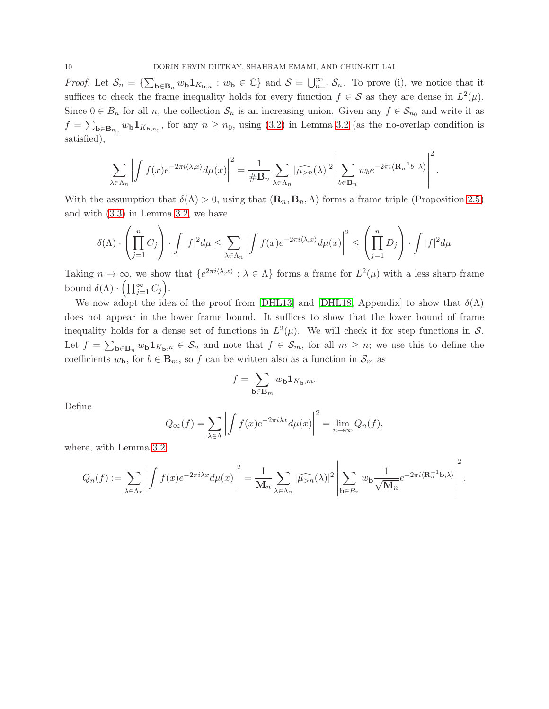Proof. Let  $S_n = \{\sum_{\mathbf{b}\in \mathbf{B}_n} w_{\mathbf{b}} 1_{K_{\mathbf{b},n}} : w_{\mathbf{b}} \in \mathbb{C}\}\$ and  $S = \bigcup_{n=1}^{\infty} S_n$ . To prove (i), we notice that it suffices to check the frame inequality holds for every function  $f \in S$  as they are dense in  $L^2(\mu)$ . Since  $0 \in B_n$  for all n, the collection  $S_n$  is an increasing union. Given any  $f \in S_{n_0}$  and write it as  $f = \sum_{\mathbf{b} \in \mathbf{B}_{n_0}} w_{\mathbf{b}} \mathbf{1}_{K_{\mathbf{b},n_0}},$  for any  $n \ge n_0$ , using [\(3.2\)](#page-8-2) in Lemma [3.2](#page-8-3) (as the no-overlap condition is satisfied),

$$
\sum_{\lambda \in \Lambda_n} \left| \int f(x) e^{-2\pi i \langle \lambda, x \rangle} d\mu(x) \right|^2 = \frac{1}{\# \mathbf{B}_n} \sum_{\lambda \in \Lambda_n} |\widehat{\mu_{>n}}(\lambda)|^2 \left| \sum_{b \in \mathbf{B}_n} w_b e^{-2\pi i \langle \mathbf{R}_n^{-1} b, \lambda \rangle} \right|^2.
$$

With the assumption that  $\delta(\Lambda) > 0$ , using that  $(\mathbf{R}_n, \mathbf{B}_n, \Lambda)$  forms a frame triple (Proposition [2.5\)](#page-5-3) and with [\(3.3\)](#page-8-1) in Lemma [3.2,](#page-8-3) we have

$$
\delta(\Lambda)\cdot\left(\prod_{j=1}^n C_j\right)\cdot\int|f|^2d\mu\leq\sum_{\lambda\in\Lambda_n}\left|\int f(x)e^{-2\pi i\langle\lambda,x\rangle}d\mu(x)\right|^2\leq\left(\prod_{j=1}^nD_j\right)\cdot\int|f|^2d\mu.
$$

Taking  $n \to \infty$ , we show that  $\{e^{2\pi i(\lambda,x)} : \lambda \in \Lambda\}$  forms a frame for  $L^2(\mu)$  with a less sharp frame bound  $\delta(\Lambda) \cdot \left( \prod_{j=1}^{\infty} C_j \right)$ .

We now adopt the idea of the proof from [\[DHL13\]](#page-19-3) and [\[DHL18,](#page-19-1) Appendix] to show that  $\delta(\Lambda)$ does not appear in the lower frame bound. It suffices to show that the lower bound of frame inequality holds for a dense set of functions in  $L^2(\mu)$ . We will check it for step functions in S. Let  $f = \sum_{\mathbf{b} \in \mathbf{B}_n} w_{\mathbf{b}} \mathbf{1}_{K_{\mathbf{b}},n} \in \mathcal{S}_n$  and note that  $f \in \mathcal{S}_m$ , for all  $m \geq n$ ; we use this to define the coefficients  $w_{\mathbf{b}}$ , for  $b \in \mathbf{B}_m$ , so f can be written also as a function in  $\mathcal{S}_m$  as

$$
f=\sum_{{\mathbf{b}}\in {\mathbf{B}}_m} w_{\mathbf{b}} {\mathbf{1}}_{K_{\mathbf{b}},m}.
$$

Define

$$
Q_{\infty}(f) = \sum_{\lambda \in \Lambda} \left| \int f(x) e^{-2\pi i \lambda x} d\mu(x) \right|^2 = \lim_{n \to \infty} Q_n(f),
$$

where, with Lemma [3.2,](#page-8-3)

$$
Q_n(f) := \sum_{\lambda \in \Lambda_n} \left| \int f(x) e^{-2\pi i \lambda x} d\mu(x) \right|^2 = \frac{1}{\mathbf{M}_n} \sum_{\lambda \in \Lambda_n} |\widehat{\mu_{>n}}(\lambda)|^2 \left| \sum_{\mathbf{b} \in B_n} w_{\mathbf{b}} \frac{1}{\sqrt{\mathbf{M}_n}} e^{-2\pi i \langle \mathbf{R}_n^{-1} \mathbf{b}, \lambda \rangle} \right|^2.
$$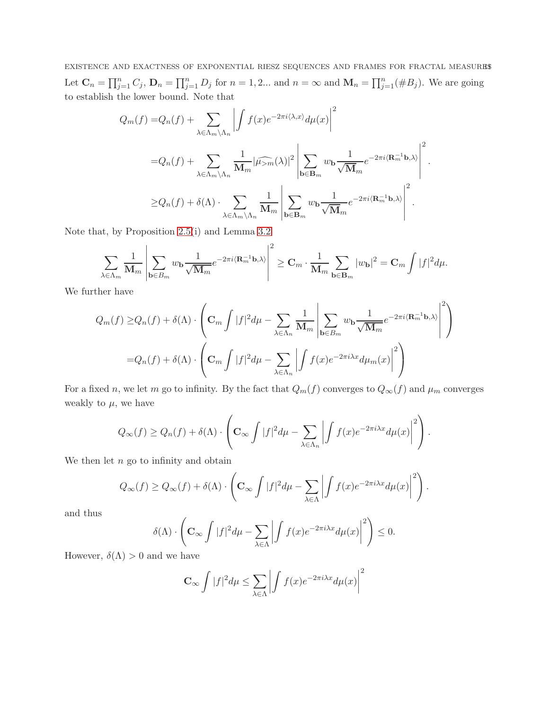EXISTENCE AND EXACTNESS OF EXPONENTIAL RIESZ SEQUENCES AND FRAMES FOR FRACTAL MEASURES Let  $\mathbf{C}_n = \prod_{j=1}^n C_j$ ,  $\mathbf{D}_n = \prod_{j=1}^n D_j$  for  $n = 1, 2...$  and  $n = \infty$  and  $\mathbf{M}_n = \prod_{j=1}^n (\#B_j)$ . We are going to establish the lower bound. Note that

$$
Q_m(f) = Q_n(f) + \sum_{\lambda \in \Lambda_m \backslash \Lambda_n} \left| \int f(x) e^{-2\pi i \langle \lambda, x \rangle} d\mu(x) \right|^2
$$
  

$$
= Q_n(f) + \sum_{\lambda \in \Lambda_m \backslash \Lambda_n} \frac{1}{M_m} |\widehat{\mu_{>m}}(\lambda)|^2 \left| \sum_{\mathbf{b} \in \mathbf{B}_m} w_{\mathbf{b}} \frac{1}{\sqrt{M_m}} e^{-2\pi i \langle \mathbf{R}_m^{-1} \mathbf{b}, \lambda \rangle} \right|^2.
$$
  

$$
\geq Q_n(f) + \delta(\Lambda) \cdot \sum_{\lambda \in \Lambda_m \backslash \Lambda_n} \frac{1}{M_m} \left| \sum_{\mathbf{b} \in \mathbf{B}_m} w_{\mathbf{b}} \frac{1}{\sqrt{M_m}} e^{-2\pi i \langle \mathbf{R}_m^{-1} \mathbf{b}, \lambda \rangle} \right|^2.
$$

Note that, by Proposition [2.5\(](#page-5-3)i) and Lemma [3.2](#page-8-3)

$$
\sum_{\lambda \in \Lambda_m} \frac{1}{\mathbf{M}_m} \left| \sum_{\mathbf{b} \in B_m} w_{\mathbf{b}} \frac{1}{\sqrt{\mathbf{M}_m}} e^{-2\pi i \langle \mathbf{R}_m^{-1} \mathbf{b}, \lambda \rangle} \right|^2 \geq \mathbf{C}_m \cdot \frac{1}{\mathbf{M}_m} \sum_{\mathbf{b} \in \mathbf{B}_m} |w_{\mathbf{b}}|^2 = \mathbf{C}_m \int |f|^2 d\mu.
$$

We further have

$$
Q_m(f) \geq Q_n(f) + \delta(\Lambda) \cdot \left( \mathbf{C}_m \int |f|^2 d\mu - \sum_{\lambda \in \Lambda_n} \frac{1}{\mathbf{M}_m} \left| \sum_{\mathbf{b} \in B_m} w_{\mathbf{b}} \frac{1}{\sqrt{\mathbf{M}_m}} e^{-2\pi i \langle \mathbf{R}_m^{-1} \mathbf{b}, \lambda \rangle} \right|^2 \right)
$$
  
=  $Q_n(f) + \delta(\Lambda) \cdot \left( \mathbf{C}_m \int |f|^2 d\mu - \sum_{\lambda \in \Lambda_n} \left| \int f(x) e^{-2\pi i \lambda x} d\mu_m(x) \right|^2 \right)$ 

For a fixed n, we let m go to infinity. By the fact that  $Q_m(f)$  converges to  $Q_\infty(f)$  and  $\mu_m$  converges weakly to  $\mu$ , we have

$$
Q_{\infty}(f) \geq Q_n(f) + \delta(\Lambda) \cdot \left( \mathbf{C}_{\infty} \int |f|^2 d\mu - \sum_{\lambda \in \Lambda_n} \left| \int f(x) e^{-2\pi i \lambda x} d\mu(x) \right|^2 \right).
$$

We then let  $n$  go to infinity and obtain

$$
Q_\infty(f) \geq Q_\infty(f) + \delta(\Lambda) \cdot \left(\mathbf{C}_\infty \int |f|^2 d\mu - \sum_{\lambda \in \Lambda} \left| \int f(x) e^{-2\pi i \lambda x} d\mu(x) \right|^2 \right).
$$

and thus

$$
\delta(\Lambda) \cdot \left( \mathbf{C}_{\infty} \int |f|^2 d\mu - \sum_{\lambda \in \Lambda} \left| \int f(x) e^{-2\pi i \lambda x} d\mu(x) \right|^2 \right) \leq 0.
$$

However,  $\delta(\Lambda) > 0$  and we have

$$
\mathbf{C}_{\infty} \int |f|^2 d\mu \le \sum_{\lambda \in \Lambda} \left| \int f(x) e^{-2\pi i \lambda x} d\mu(x) \right|^2
$$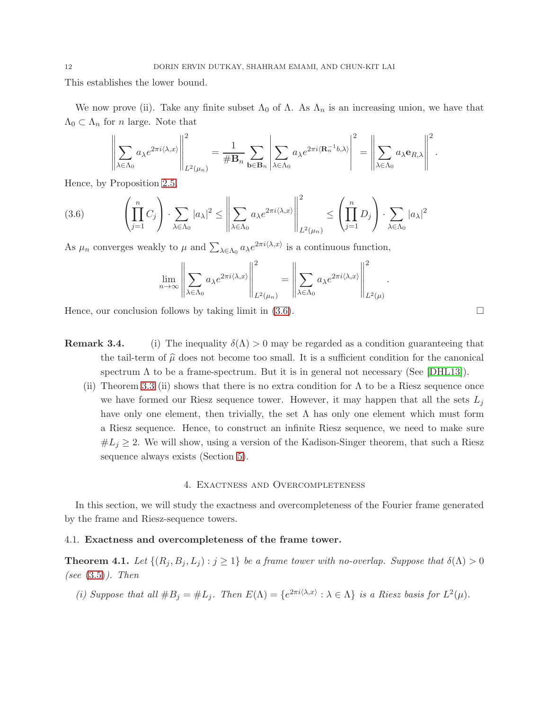This establishes the lower bound.

We now prove (ii). Take any finite subset  $\Lambda_0$  of  $\Lambda$ . As  $\Lambda_n$  is an increasing union, we have that  $\Lambda_0 \subset \Lambda_n$  for *n* large. Note that

$$
\left\|\sum_{\lambda\in\Lambda_0}a_{\lambda}e^{2\pi i \langle \lambda,x\rangle}\right\|_{L^2(\mu_n)}^2=\frac{1}{\#B_n}\sum_{\mathbf{b}\in\mathbf{B}_n}\left|\sum_{\lambda\in\Lambda_0}a_{\lambda}e^{2\pi i \langle\mathbf{R}_n^{-1}b,\lambda\rangle}\right|^2=\left\|\sum_{\lambda\in\Lambda_0}a_{\lambda}\mathbf{e}_{R,\lambda}\right\|^2.
$$

Hence, by Proposition [2.5,](#page-5-3)

<span id="page-11-3"></span>
$$
(3.6) \qquad \left(\prod_{j=1}^n C_j\right) \cdot \sum_{\lambda \in \Lambda_0} |a_\lambda|^2 \le \left\|\sum_{\lambda \in \Lambda_0} a_\lambda e^{2\pi i \langle \lambda, x \rangle} \right\|_{L^2(\mu_n)}^2 \le \left(\prod_{j=1}^n D_j\right) \cdot \sum_{\lambda \in \Lambda_0} |a_\lambda|^2
$$

As  $\mu_n$  converges weakly to  $\mu$  and  $\sum_{\lambda \in \Lambda_0} a_{\lambda} e^{2\pi i \langle \lambda, x \rangle}$  is a continuous function,

$$
\lim_{n \to \infty} \left\| \sum_{\lambda \in \Lambda_0} a_{\lambda} e^{2\pi i \langle \lambda, x \rangle} \right\|_{L^2(\mu_n)}^2 = \left\| \sum_{\lambda \in \Lambda_0} a_{\lambda} e^{2\pi i \langle \lambda, x \rangle} \right\|_{L^2(\mu)}^2
$$

Hence, our conclusion follows by taking limit in  $(3.6)$ .

- **Remark 3.4.** (i) The inequality  $\delta(\Lambda) > 0$  may be regarded as a condition guaranteeing that the tail-term of  $\hat{\mu}$  does not become too small. It is a sufficient condition for the canonical spectrum  $\Lambda$  to be a frame-spectrum. But it is in general not necessary (See [\[DHL13\]](#page-19-3)).
	- (ii) Theorem 3.3 (ii) shows that there is no extra condition for  $\Lambda$  to be a Riesz sequence once we have formed our Riesz sequence tower. However, it may happen that all the sets  $L_j$ have only one element, then trivially, the set  $\Lambda$  has only one element which must form a Riesz sequence. Hence, to construct an infinite Riesz sequence, we need to make sure  $#L<sub>i</sub> \geq 2$ . We will show, using a version of the Kadison-Singer theorem, that such a Riesz sequence always exists (Section [5\)](#page-16-0).

#### 4. Exactness and Overcompleteness

<span id="page-11-0"></span>In this section, we will study the exactness and overcompleteness of the Fourier frame generated by the frame and Riesz-sequence towers.

#### <span id="page-11-1"></span>4.1. Exactness and overcompleteness of the frame tower.

<span id="page-11-2"></span>**Theorem 4.1.** Let  $\{(R_j, B_j, L_j) : j \geq 1\}$  be a frame tower with no-overlap. Suppose that  $\delta(\Lambda) > 0$ (see  $(3.5)$ ). Then

(i) Suppose that all  $#B_j = #L_j$ . Then  $E(\Lambda) = \{e^{2\pi i \langle \lambda, x \rangle} : \lambda \in \Lambda\}$  is a Riesz basis for  $L^2(\mu)$ .

.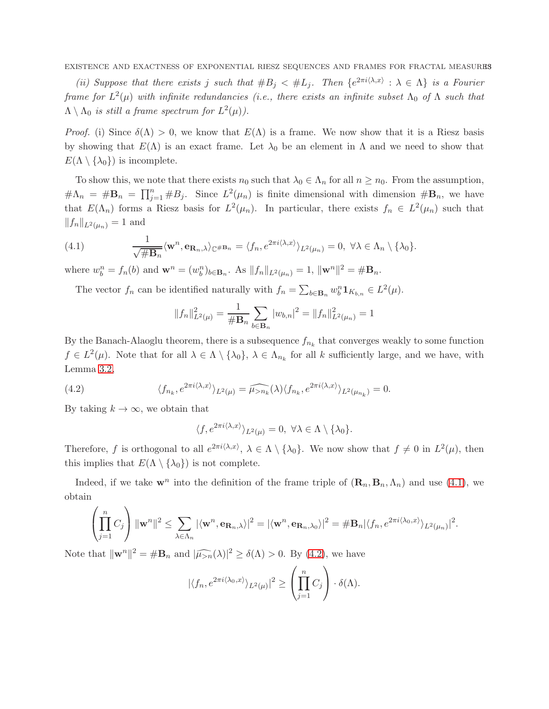EXISTENCE AND EXACTNESS OF EXPONENTIAL RIESZ SEQUENCES AND FRAMES FOR FRACTAL MEASURES

(ii) Suppose that there exists j such that  $#B_j < #L_j$ . Then  $\{e^{2\pi i \langle \lambda, x \rangle} : \lambda \in \Lambda\}$  is a Fourier frame for  $L^2(\mu)$  with infinite redundancies (i.e., there exists an infinite subset  $\Lambda_0$  of  $\Lambda$  such that  $\Lambda \setminus \Lambda_0$  is still a frame spectrum for  $L^2(\mu)$ ).

*Proof.* (i) Since  $\delta(\Lambda) > 0$ , we know that  $E(\Lambda)$  is a frame. We now show that it is a Riesz basis by showing that  $E(\Lambda)$  is an exact frame. Let  $\lambda_0$  be an element in  $\Lambda$  and we need to show that  $E(\Lambda \setminus {\lambda_0})$  is incomplete.

To show this, we note that there exists  $n_0$  such that  $\lambda_0 \in \Lambda_n$  for all  $n \geq n_0$ . From the assumption,  $\#\Lambda_n = \#\mathbf{B}_n = \prod_{j=1}^n \#B_j$ . Since  $L^2(\mu_n)$  is finite dimensional with dimension  $\#\mathbf{B}_n$ , we have that  $E(\Lambda_n)$  forms a Riesz basis for  $L^2(\mu_n)$ . In particular, there exists  $f_n \in L^2(\mu_n)$  such that  $||f_n||_{L^2(\mu_n)} = 1$  and

<span id="page-12-0"></span>(4.1) 
$$
\frac{1}{\sqrt{\#\mathbf{B}_n}} \langle \mathbf{w}^n, \mathbf{e}_{\mathbf{R}_n,\lambda} \rangle_{\mathbb{C}^{\#\mathbf{B}_n}} = \langle f_n, e^{2\pi i \langle \lambda, x \rangle} \rangle_{L^2(\mu_n)} = 0, \ \forall \lambda \in \Lambda_n \setminus \{\lambda_0\}.
$$

where  $w_b^n = f_n(b)$  and  $\mathbf{w}^n = (w_b^n)_{b \in \mathbf{B}_n}$ . As  $||f_n||_{L^2(\mu_n)} = 1$ ,  $||\mathbf{w}^n||^2 = \# \mathbf{B}_n$ .

The vector  $f_n$  can be identified naturally with  $f_n = \sum_{b \in \mathbf{B}_n} w_b^n \mathbf{1}_{K_{b,n}} \in L^2(\mu)$ .

$$
||f_n||_{L^2(\mu)}^2 = \frac{1}{\# \mathbf{B}_n} \sum_{b \in \mathbf{B}_n} |w_{b,n}|^2 = ||f_n||_{L^2(\mu_n)}^2 = 1
$$

By the Banach-Alaoglu theorem, there is a subsequence  $f_{n_k}$  that converges weakly to some function  $f \in L^2(\mu)$ . Note that for all  $\lambda \in \Lambda \setminus \{\lambda_0\}$ ,  $\lambda \in \Lambda_{n_k}$  for all k sufficiently large, and we have, with Lemma [3.2,](#page-8-3)

(4.2) 
$$
\langle f_{n_k}, e^{2\pi i \langle \lambda, x \rangle} \rangle_{L^2(\mu)} = \widehat{\mu_{>n_k}}(\lambda) \langle f_{n_k}, e^{2\pi i \langle \lambda, x \rangle} \rangle_{L^2(\mu_{n_k})} = 0.
$$

By taking  $k \to \infty$ , we obtain that

<span id="page-12-1"></span>
$$
\langle f, e^{2\pi i \langle \lambda, x \rangle} \rangle_{L^2(\mu)} = 0, \ \forall \lambda \in \Lambda \setminus \{\lambda_0\}.
$$

Therefore, f is orthogonal to all  $e^{2\pi i \langle \lambda, x \rangle}$ ,  $\lambda \in \Lambda \setminus {\{\lambda_0\}}$ . We now show that  $f \neq 0$  in  $L^2(\mu)$ , then this implies that  $E(\Lambda \setminus {\lambda_0})$  is not complete.

Indeed, if we take  $\mathbf{w}^n$  into the definition of the frame triple of  $(\mathbf{R}_n, \mathbf{B}_n, \Lambda_n)$  and use [\(4.1\)](#page-12-0), we obtain

$$
\left(\prod_{j=1}^n C_j\right) \|\mathbf{w}^n\|^2 \leq \sum_{\lambda \in \Lambda_n} |\langle \mathbf{w}^n, \mathbf{e}_{\mathbf{R}_n,\lambda}\rangle|^2 = |\langle \mathbf{w}^n, \mathbf{e}_{\mathbf{R}_n,\lambda_0}\rangle|^2 = \# \mathbf{B}_n |\langle f_n, e^{2\pi i \langle \lambda_0, x \rangle} \rangle_{L^2(\mu_n)}|^2.
$$

Note that  $\|\mathbf{w}^n\|^2 = \#\mathbf{B}_n$  and  $|\widehat{\mu}_{>n}(\lambda)|^2 \ge \delta(\Lambda) > 0$ . By [\(4.2\)](#page-12-1), we have

$$
|\langle f_n, e^{2\pi i \langle \lambda_0, x \rangle} \rangle_{L^2(\mu)}|^2 \ge \left(\prod_{j=1}^n C_j\right) \cdot \delta(\Lambda).
$$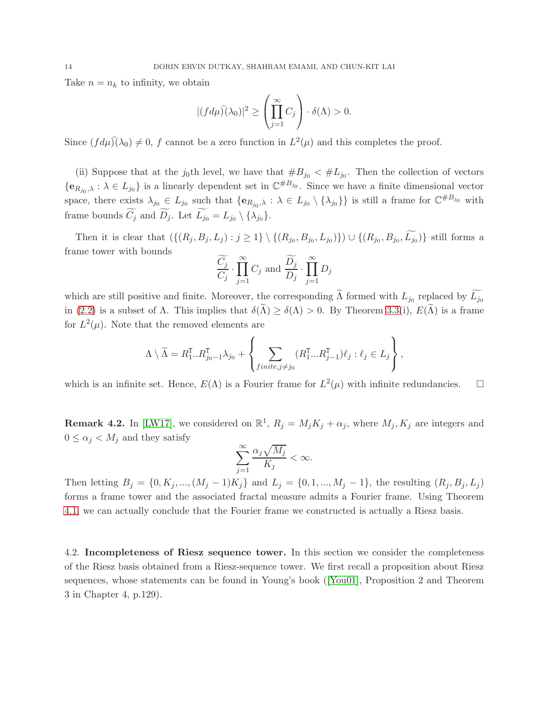Take  $n = n_k$  to infinity, we obtain

$$
|(fd\mu)\hat{)}(\lambda_0)|^2 \ge \left(\prod_{j=1}^{\infty} C_j\right) \cdot \delta(\Lambda) > 0.
$$

Since  $(fd\mu)(\lambda_0) \neq 0$ , f cannot be a zero function in  $L^2(\mu)$  and this completes the proof.

(ii) Suppose that at the j<sub>0</sub>th level, we have that  $#B_{j_0} < #L_{j_0}$ . Then the collection of vectors  ${e_{R_{j_0},\lambda} : \lambda \in L_{j_0}}$  is a linearly dependent set in  $\mathbb{C}^{\#B_{j_0}}$ . Since we have a finite dimensional vector space, there exists  $\lambda_{j_0} \in L_{j_0}$  such that  $\{e_{R_{j_0},\lambda} : \lambda \in L_{j_0} \setminus {\{\lambda_{j_0}\}}\}$  is still a frame for  $\mathbb{C}^{\#B_{j_0}}$  with frame bounds  $C_j$  and  $D_j$ . Let  $L_{j_0} = L_{j_0} \setminus {\{\lambda_{j_0}\}}$ .

Then it is clear that  $(\{(R_j, B_j, L_j) : j \geq 1\} \setminus \{(R_{j_0}, B_{j_0}, L_{j_0})\}) \cup \{(R_{j_0}, B_{j_0}, L_{j_0})\}$  still forms a frame tower with bounds

$$
\frac{C_j}{C_j} \cdot \prod_{j=1}^{\infty} C_j
$$
 and 
$$
\frac{D_j}{D_j} \cdot \prod_{j=1}^{\infty} D_j
$$

which are still positive and finite. Moreover, the corresponding  $\Lambda$  formed with  $L_{j_0}$  replaced by  $L_{j_0}$ in [\(2.2\)](#page-5-2) is a subset of  $\Lambda$ . This implies that  $\delta(\widetilde{\Lambda}) \geq \delta(\Lambda) > 0$ . By Theorem 3.3(i),  $E(\widetilde{\Lambda})$  is a frame for  $L^2(\mu)$ . Note that the removed elements are

$$
\Lambda \setminus \widetilde{\Lambda} = R_1^{\mathrm{T}} .. R_{j_0-1}^{\mathrm{T}} \lambda_{j_0} + \left\{ \sum_{finite, j \neq j_0} (R_1^{\mathrm{T}} ... R_{j-1}^{\mathrm{T}}) \ell_j : \ell_j \in L_j \right\},\,
$$

which is an infinite set. Hence,  $E(\Lambda)$  is a Fourier frame for  $L^2(\mu)$  with infinite redundancies.  $\square$ 

**Remark 4.2.** In [\[LW17\]](#page-20-8), we considered on  $\mathbb{R}^1$ ,  $R_j = M_j K_j + \alpha_j$ , where  $M_j$ ,  $K_j$  are integers and  $0 \leq \alpha_j < M_j$  and they satisfy

$$
\sum_{j=1}^{\infty} \frac{\alpha_j \sqrt{M_j}}{K_j} < \infty.
$$

Then letting  $B_j = \{0, K_j, ..., (M_j - 1)K_j\}$  and  $L_j = \{0, 1, ..., M_j - 1\}$ , the resulting  $(R_j, B_j, L_j)$ forms a frame tower and the associated fractal measure admits a Fourier frame. Using Theorem [4.1,](#page-11-2) we can actually conclude that the Fourier frame we constructed is actually a Riesz basis.

<span id="page-13-0"></span>4.2. Incompleteness of Riesz sequence tower. In this section we consider the completeness of the Riesz basis obtained from a Riesz-sequence tower. We first recall a proposition about Riesz sequences, whose statements can be found in Young's book ([\[You01\]](#page-20-10), Proposition 2 and Theorem 3 in Chapter 4, p.129).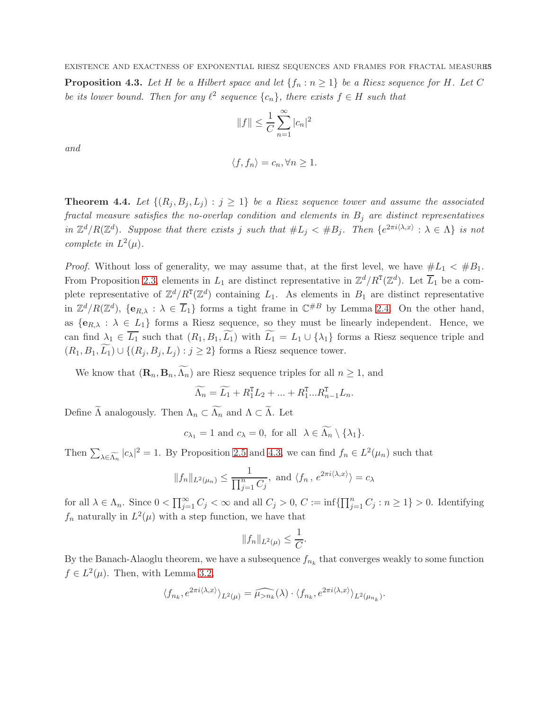<span id="page-14-1"></span>**Proposition 4.3.** Let H be a Hilbert space and let  $\{f_n : n \geq 1\}$  be a Riesz sequence for H. Let C be its lower bound. Then for any  $\ell^2$  sequence  $\{c_n\}$ , there exists  $f \in H$  such that

$$
||f|| \leq \frac{1}{C} \sum_{n=1}^{\infty} |c_n|^2
$$

and

$$
\langle f, f_n \rangle = c_n, \forall n \ge 1.
$$

<span id="page-14-0"></span>**Theorem 4.4.** Let  $\{(R_i, B_j, L_j) : j \geq 1\}$  be a Riesz sequence tower and assume the associated fractal measure satisfies the no-overlap condition and elements in  $B_i$  are distinct representatives in  $\mathbb{Z}^d/R(\mathbb{Z}^d)$ . Suppose that there exists j such that  $\#L_j < \#B_j$ . Then  $\{e^{2\pi i \langle \lambda, x \rangle} : \lambda \in \Lambda\}$  is not complete in  $L^2(\mu)$ .

*Proof.* Without loss of generality, we may assume that, at the first level, we have  $#L_1 < #B_1$ . From Proposition [2.3,](#page-4-1) elements in  $L_1$  are distinct representative in  $\mathbb{Z}^d/R^T(\mathbb{Z}^d)$ . Let  $\overline{L}_1$  be a complete representative of  $\mathbb{Z}^d/R^T(\mathbb{Z}^d)$  containing  $L_1$ . As elements in  $B_1$  are distinct representative in  $\mathbb{Z}^d/R(\mathbb{Z}^d)$ ,  $\{e_{R,\lambda} : \lambda \in \overline{L}_1\}$  forms a tight frame in  $\mathbb{C}^{\#B}$  by Lemma [2.4.](#page-5-4) On the other hand, as  ${e_{R,\lambda} : \lambda \in L_1}$  forms a Riesz sequence, so they must be linearly independent. Hence, we can find  $\lambda_1 \in \overline{L_1}$  such that  $(R_1, B_1, \widetilde{L_1})$  with  $\widetilde{L_1} = L_1 \cup {\lambda_1}$  forms a Riesz sequence triple and  $(R_1, B_1, \widetilde{L_1}) \cup \{(R_i, B_i, L_j) : j \geq 2\}$  forms a Riesz sequence tower.

We know that  $(\mathbf{R}_n, \mathbf{B}_n, \widetilde{\Lambda_n})$  are Riesz sequence triples for all  $n \geq 1$ , and

$$
\widetilde{\Lambda_n} = \widetilde{L_1} + R_1^{\mathrm{T}} L_2 + \dots + R_1^{\mathrm{T}} \dots R_{n-1}^{\mathrm{T}} L_n.
$$

Define  $\widetilde{\Lambda}$  analogously. Then  $\Lambda_n \subset \widetilde{\Lambda_n}$  and  $\Lambda \subset \widetilde{\Lambda}$ . Let

 $c_{\lambda_1} = 1$  and  $c_{\lambda} = 0$ , for all  $\lambda \in \widetilde{\Lambda_n} \setminus {\lambda_1}$ .

Then  $\sum_{\lambda \in \widetilde{\Lambda_n}} |c_{\lambda}|^2 = 1$ . By Proposition [2.5](#page-5-3) and [4.3,](#page-14-1) we can find  $f_n \in L^2(\mu_n)$  such that

$$
||f_n||_{L^2(\mu_n)} \leq \frac{1}{\prod_{j=1}^n C_j}
$$
, and  $\langle f_n, e^{2\pi i \langle \lambda, x \rangle} \rangle = c_\lambda$ 

for all  $\lambda \in \Lambda_n$ . Since  $0 < \prod_{j=1}^{\infty} C_j < \infty$  and all  $C_j > 0$ ,  $C := \inf \{ \prod_{j=1}^n C_j : n \geq 1 \} > 0$ . Identifying  $f_n$  naturally in  $L^2(\mu)$  with a step function, we have that

$$
||f_n||_{L^2(\mu)} \leq \frac{1}{C}.
$$

By the Banach-Alaoglu theorem, we have a subsequence  $f_{n_k}$  that converges weakly to some function  $f \in L^2(\mu)$ . Then, with Lemma [3.2,](#page-8-3)

$$
\langle f_{n_k}, e^{2\pi i \langle \lambda, x \rangle} \rangle_{L^2(\mu)} = \widehat{\mu_{>n_k}}(\lambda) \cdot \langle f_{n_k}, e^{2\pi i \langle \lambda, x \rangle} \rangle_{L^2(\mu_{n_k})}.
$$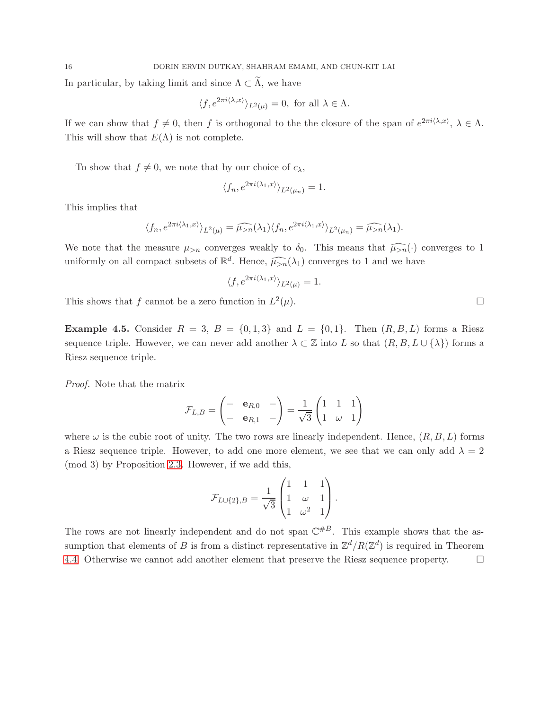In particular, by taking limit and since  $\Lambda \subset \widetilde{\Lambda}$ , we have

$$
\langle f, e^{2\pi i \langle \lambda, x \rangle} \rangle_{L^2(\mu)} = 0, \text{ for all } \lambda \in \Lambda.
$$

If we can show that  $f \neq 0$ , then f is orthogonal to the the closure of the span of  $e^{2\pi i \langle \lambda, x \rangle}, \lambda \in \Lambda$ . This will show that  $E(\Lambda)$  is not complete.

To show that  $f \neq 0$ , we note that by our choice of  $c_{\lambda}$ ,

$$
\langle f_n, e^{2\pi i \langle \lambda_1, x \rangle} \rangle_{L^2(\mu_n)} = 1.
$$

This implies that

$$
\langle f_n, e^{2\pi i \langle \lambda_1, x \rangle} \rangle_{L^2(\mu)} = \widehat{\mu_{>n}}(\lambda_1) \langle f_n, e^{2\pi i \langle \lambda_1, x \rangle} \rangle_{L^2(\mu_n)} = \widehat{\mu_{>n}}(\lambda_1).
$$

We note that the measure  $\mu_{>n}$  converges weakly to  $\delta_0$ . This means that  $\widehat{\mu_{>n}}(\cdot)$  converges to 1 uniformly on all compact subsets of  $\mathbb{R}^d$ . Hence,  $\widehat{\mu_{>n}}(\lambda_1)$  converges to 1 and we have

$$
\langle f, e^{2\pi i \langle \lambda_1, x \rangle} \rangle_{L^2(\mu)} = 1.
$$

This shows that f cannot be a zero function in  $L^2$  $(\mu).$ 

<span id="page-15-0"></span>**Example 4.5.** Consider  $R = 3$ ,  $B = \{0, 1, 3\}$  and  $L = \{0, 1\}$ . Then  $(R, B, L)$  forms a Riesz sequence triple. However, we can never add another  $\lambda \subset \mathbb{Z}$  into L so that  $(R, B, L \cup \{\lambda\})$  forms a Riesz sequence triple.

Proof. Note that the matrix

$$
\mathcal{F}_{L,B} = \begin{pmatrix} - & \mathbf{e}_{R,0} & - \\ - & \mathbf{e}_{R,1} & - \end{pmatrix} = \frac{1}{\sqrt{3}} \begin{pmatrix} 1 & 1 & 1 \\ 1 & \omega & 1 \end{pmatrix}
$$

where  $\omega$  is the cubic root of unity. The two rows are linearly independent. Hence,  $(R, B, L)$  forms a Riesz sequence triple. However, to add one more element, we see that we can only add  $\lambda = 2$ (mod 3) by Proposition [2.3.](#page-4-1) However, if we add this,

$$
\mathcal{F}_{L \cup \{2\},B} = \frac{1}{\sqrt{3}} \begin{pmatrix} 1 & 1 & 1 \\ 1 & \omega & 1 \\ 1 & \omega^2 & 1 \end{pmatrix}.
$$

The rows are not linearly independent and do not span  $\mathbb{C}^{\#B}$ . This example shows that the assumption that elements of B is from a distinct representative in  $\mathbb{Z}^d/R(\mathbb{Z}^d)$  is required in Theorem [4.4.](#page-14-0) Otherwise we cannot add another element that preserve the Riesz sequence property.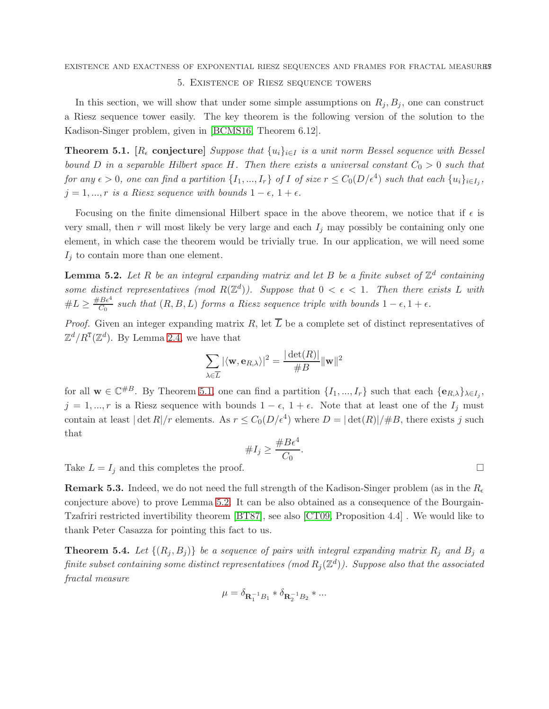## <span id="page-16-0"></span>EXISTENCE AND EXACTNESS OF EXPONENTIAL RIESZ SEQUENCES AND FRAMES FOR FRACTAL MEASURES 5. Existence of Riesz sequence towers

In this section, we will show that under some simple assumptions on  $R_j, B_j$ , one can construct a Riesz sequence tower easily. The key theorem is the following version of the solution to the Kadison-Singer problem, given in [\[BCMS16,](#page-19-5) Theorem 6.12].

<span id="page-16-2"></span>**Theorem 5.1.** [ $R_{\epsilon}$  conjecture] Suppose that  $\{u_i\}_{i\in I}$  is a unit norm Bessel sequence with Bessel bound D in a separable Hilbert space H. Then there exists a universal constant  $C_0 > 0$  such that for any  $\epsilon > 0$ , one can find a partition  $\{I_1, ..., I_r\}$  of I of size  $r \leq C_0(D/\epsilon^4)$  such that each  $\{u_i\}_{i \in I_j}$ ,  $j = 1, ..., r$  is a Riesz sequence with bounds  $1 - \epsilon, 1 + \epsilon$ .

Focusing on the finite dimensional Hilbert space in the above theorem, we notice that if  $\epsilon$  is very small, then r will most likely be very large and each  $I_j$  may possibly be containing only one element, in which case the theorem would be trivially true. In our application, we will need some  $I_j$  to contain more than one element.

<span id="page-16-3"></span>**Lemma 5.2.** Let R be an integral expanding matrix and let B be a finite subset of  $\mathbb{Z}^d$  containing some distinct representatives (mod  $R(\mathbb{Z}^d)$ ). Suppose that  $0 < \epsilon < 1$ . Then there exists L with  $\#L \geq \frac{\#B\epsilon^4}{C_0}$  $\frac{1}{C_0}$  such that  $(R, B, L)$  forms a Riesz sequence triple with bounds  $1 - \epsilon, 1 + \epsilon$ .

*Proof.* Given an integer expanding matrix R, let  $\overline{L}$  be a complete set of distinct representatives of  $\mathbb{Z}^d/R^{\mathsf{T}}(\mathbb{Z}^d)$ . By Lemma [2.4,](#page-5-4) we have that

$$
\sum_{\lambda \in \overline{L}} |\langle \mathbf{w}, \mathbf{e}_{R,\lambda} \rangle|^2 = \frac{|\det(R)|}{\#B} ||\mathbf{w}||^2
$$

for all  $\mathbf{w} \in \mathbb{C}^{\#B}$ . By Theorem [5.1,](#page-16-2) one can find a partition  $\{I_1, ..., I_r\}$  such that each  $\{\mathbf{e}_{R,\lambda}\}_{\lambda \in I_j}$ ,  $j = 1, ..., r$  is a Riesz sequence with bounds  $1 - \epsilon$ ,  $1 + \epsilon$ . Note that at least one of the  $I_j$  must contain at least  $|\det R|/r$  elements. As  $r \leq C_0(D/\epsilon^4)$  where  $D = |\det(R)|/H$ , there exists j such that

#I<sup>j</sup> ≥ #Bǫ<sup>4</sup> C<sup>0</sup> .

Take  $L = I_j$  and this completes the proof.

**Remark 5.3.** Indeed, we do not need the full strength of the Kadison-Singer problem (as in the  $R_{\epsilon}$ conjecture above) to prove Lemma [5.2.](#page-16-3) It can be also obtained as a consequence of the Bourgain-Tzafriri restricted invertibility theorem [\[BT87\]](#page-19-6), see also [\[CT09,](#page-19-7) Proposition 4.4] . We would like to thank Peter Casazza for pointing this fact to us.

<span id="page-16-1"></span>**Theorem 5.4.** Let  $\{(R_j, B_j)\}\$  be a sequence of pairs with integral expanding matrix  $R_j$  and  $B_j$  a finite subset containing some distinct representatives (mod  $R_j(\mathbb{Z}^d)$ ). Suppose also that the associated fractal measure

$$
\mu = \delta_{\mathbf{R}_1^{-1} B_1} \ast \delta_{\mathbf{R}_2^{-1} B_2} \ast \ldots
$$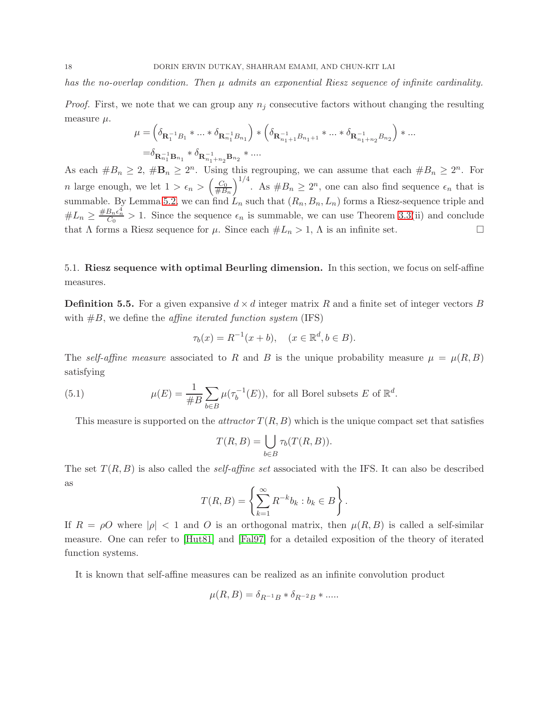has the no-overlap condition. Then  $\mu$  admits an exponential Riesz sequence of infinite cardinality.

*Proof.* First, we note that we can group any  $n_j$  consecutive factors without changing the resulting measure  $\mu$ .

$$
\begin{split} \mu=&\left(\delta_{\mathbf{R}^{-1}_1B_1}\ast \ldots \ast \delta_{\mathbf{R}^{-1}_{n_1}B_{n_1}}\right)\ast \left(\delta_{\mathbf{R}^{-1}_{n_1+1}B_{n_1+1}}\ast \ldots \ast \delta_{\mathbf{R}^{-1}_{n_1+n_2}B_{n_2}}\right)\ast \ldots \\ =&\delta_{\mathbf{R}^{-1}_{n_1}\mathbf{B}_{n_1}}\ast \delta_{\mathbf{R}^{-1}_{n_1+n_2}\mathbf{B}_{n_2}}\ast \ldots \end{split}
$$

As each  $#B_n \geq 2$ ,  $#B_n \geq 2^n$ . Using this regrouping, we can assume that each  $#B_n \geq 2^n$ . For *n* large enough, we let  $1 > \epsilon_n > \left(\frac{C_0}{\#B}\right)$  $#B_n$  $\int^{1/4}$ . As  $#B_n \geq 2^n$ , one can also find sequence  $\epsilon_n$  that is summable. By Lemma [5.2,](#page-16-3) we can find  $L_n$  such that  $(R_n, B_n, L_n)$  forms a Riesz-sequence triple and  $\#L_n \geq \frac{\#B_n\epsilon_n^4}{C_0} > 1$ . Since the sequence  $\epsilon_n$  is summable, we can use Theorem 3.3(ii) and conclude that  $\Lambda$  forms a Riesz sequence for  $\mu$ . Since each  $\#L_n > 1$ ,  $\Lambda$  is an infinite set.

<span id="page-17-0"></span>5.1. Riesz sequence with optimal Beurling dimension. In this section, we focus on self-affine measures.

<span id="page-17-1"></span>**Definition 5.5.** For a given expansive  $d \times d$  integer matrix R and a finite set of integer vectors B with  $#B$ , we define the *affine iterated function system* (IFS)

$$
\tau_b(x) = R^{-1}(x + b), \quad (x \in \mathbb{R}^d, b \in B).
$$

The self-affine measure associated to R and B is the unique probability measure  $\mu = \mu(R, B)$ satisfying

(5.1) 
$$
\mu(E) = \frac{1}{\#B} \sum_{b \in B} \mu(\tau_b^{-1}(E)), \text{ for all Borel subsets } E \text{ of } \mathbb{R}^d.
$$

This measure is supported on the *attractor*  $T(R, B)$  which is the unique compact set that satisfies

$$
T(R, B) = \bigcup_{b \in B} \tau_b(T(R, B)).
$$

The set  $T(R, B)$  is also called the *self-affine set* associated with the IFS. It can also be described as

$$
T(R, B) = \left\{ \sum_{k=1}^{\infty} R^{-k} b_k : b_k \in B \right\}.
$$

If  $R = \rho O$  where  $|\rho| < 1$  and O is an orthogonal matrix, then  $\mu(R, B)$  is called a self-similar measure. One can refer to [\[Hut81\]](#page-20-11) and [\[Fal97\]](#page-20-12) for a detailed exposition of the theory of iterated function systems.

It is known that self-affine measures can be realized as an infinite convolution product

$$
\mu(R, B) = \delta_{R^{-1}B} * \delta_{R^{-2}B} * \dots
$$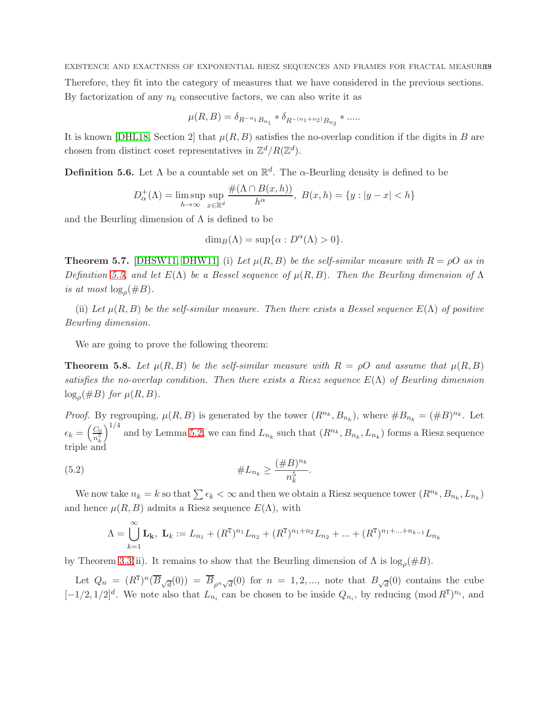EXISTENCE AND EXACTNESS OF EXPONENTIAL RIESZ SEQUENCES AND FRAMES FOR FRACTAL MEASURES Therefore, they fit into the category of measures that we have considered in the previous sections. By factorization of any  $n_k$  consecutive factors, we can also write it as

$$
\mu(R, B) = \delta_{R^{-n_1}B_{n_1}} * \delta_{R^{-(n_1+n_2)}B_{n_2}} * \dots
$$

It is known [\[DHL18,](#page-19-1) Section 2] that  $\mu(R, B)$  satisfies the no-overlap condition if the digits in B are chosen from distinct coset representatives in  $\mathbb{Z}^d/R(\mathbb{Z}^d)$ .

**Definition 5.6.** Let  $\Lambda$  be a countable set on  $\mathbb{R}^d$ . The  $\alpha$ -Beurling density is defined to be

$$
D_{\alpha}^{+}(\Lambda) = \limsup_{h \to \infty} \sup_{x \in \mathbb{R}^d} \frac{\#(\Lambda \cap B(x, h))}{h^{\alpha}}, \ B(x, h) = \{y : |y - x| < h\}
$$

and the Beurling dimension of  $\Lambda$  is defined to be

$$
\dim_B(\Lambda)=\sup\{\alpha:D^{\alpha}(\Lambda)>0\}.
$$

<span id="page-18-2"></span>**Theorem 5.7.** [\[DHSW11,](#page-20-13) [DHW11\]](#page-20-7) (i) Let  $\mu(R, B)$  be the self-similar measure with  $R = \rho O$  as in Definition [5.5,](#page-17-1) and let  $E(\Lambda)$  be a Bessel sequence of  $\mu(R, B)$ . Then the Beurling dimension of  $\Lambda$ is at most  $\log_{\rho}(\#B)$ .

(ii) Let  $\mu(R, B)$  be the self-similar measure. Then there exists a Bessel sequence  $E(\Lambda)$  of positive Beurling dimension.

We are going to prove the following theorem:

<span id="page-18-0"></span>**Theorem 5.8.** Let  $\mu(R, B)$  be the self-similar measure with  $R = \rho O$  and assume that  $\mu(R, B)$ satisfies the no-overlap condition. Then there exists a Riesz sequence  $E(\Lambda)$  of Beurling dimension  $\log_{\rho}(\#B)$  for  $\mu(R, B)$ .

*Proof.* By regrouping,  $\mu(R, B)$  is generated by the tower  $(R^{n_k}, B_{n_k})$ , where  $#B_{n_k} = (*B)^{n_k}$ . Let  $\epsilon_k = \left(\frac{C_0}{n^5}\right)$  $n_k^5$  $\int^{1/4}$  and by Lemma [5.2,](#page-16-3) we can find  $L_{n_k}$  such that  $(R^{n_k}, B_{n_k}, L_{n_k})$  forms a Riesz sequence triple and

(5.2) 
$$
\#L_{n_k} \geq \frac{(\#B)^{n_k}}{n_k^5}
$$

We now take  $n_k = k$  so that  $\sum \epsilon_k < \infty$  and then we obtain a Riesz sequence tower  $(R^{n_k}, B_{n_k}, L_{n_k})$ and hence  $\mu(R, B)$  admits a Riesz sequence  $E(\Lambda)$ , with

<span id="page-18-1"></span>.

$$
\Lambda = \bigcup_{k=1}^{\infty} \mathbf{L}_k, \ \mathbf{L}_k := L_{n_1} + (R^{\mathrm{T}})^{n_1} L_{n_2} + (R^{\mathrm{T}})^{n_1 + n_2} L_{n_2} + \dots + (R^{\mathrm{T}})^{n_1 + \dots + n_{k-1}} L_{n_k}
$$

by Theorem 3.3(ii). It remains to show that the Beurling dimension of  $\Lambda$  is  $\log_{\rho}(\#B)$ .

Let  $Q_n = (R^T)^n (\overline{B}_{\sqrt{d}}(0)) = \overline{B}_{\rho^n \sqrt{d}}(0)$  for  $n = 1, 2, ...$ , note that  $B_{\sqrt{d}}(0)$  contains the cube  $[-1/2, 1/2]^d$ . We note also that  $L_{n_i}$  can be chosen to be inside  $Q_{n_i}$ , by reducing  $(\text{mod } R^T)^{n_i}$ , and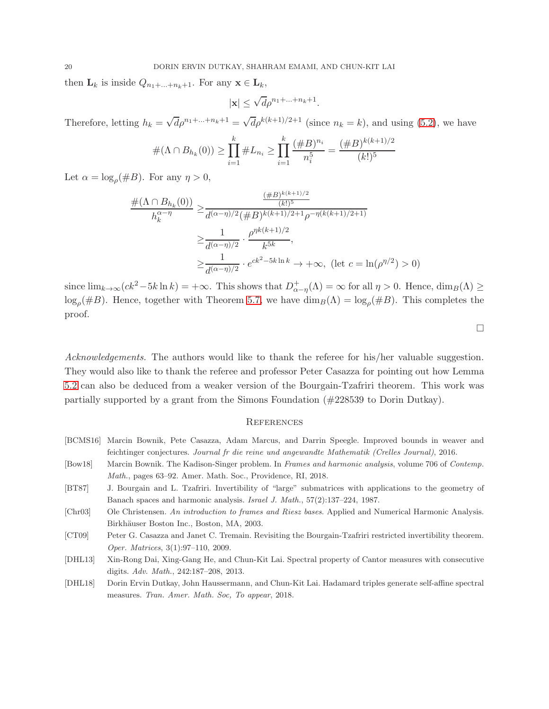then  $\mathbf{L}_k$  is inside  $Q_{n_1+\ldots+n_k+1}$ . For any  $\mathbf{x} \in \mathbf{L}_k$ ,

$$
|\mathbf{x}| \le \sqrt{d} \rho^{n_1 + \ldots + n_k + 1}.
$$

Therefore, letting  $h_k = \sqrt{d} \rho^{n_1 + ... + n_k + 1} = \sqrt{d} \rho^{k(k+1)/2+1}$  (since  $n_k = k$ ), and using [\(5.2\)](#page-18-1), we have

$$
#(\Lambda \cap B_{h_k}(0)) \ge \prod_{i=1}^k #L_{n_i} \ge \prod_{i=1}^k \frac{(\#B)^{n_i}}{n_i^5} = \frac{(\#B)^{k(k+1)/2}}{(k!)^5}
$$

Let  $\alpha = \log_{\rho}(\#B)$ . For any  $\eta > 0$ ,

$$
\frac{\#(\Lambda \cap B_{h_k}(0))}{h_k^{\alpha-\eta}} \geq \frac{\frac{(\#B)^{k(k+1)/2}}{(k!)^5}}{d^{(\alpha-\eta)/2}(\#B)^{k(k+1)/2+1}\rho^{-\eta(k(k+1)/2+1)}}
$$

$$
\geq \frac{1}{d^{(\alpha-\eta)/2}} \cdot \frac{\rho^{\eta k(k+1)/2}}{k^{5k}},
$$

$$
\geq \frac{1}{d^{(\alpha-\eta)/2}} \cdot e^{ck^2-5k\ln k} \to +\infty, \text{ (let } c = \ln(\rho^{\eta/2}) > 0)
$$

since  $\lim_{k\to\infty}(ck^2-5k\ln k) = +\infty$ . This shows that  $D^+_{\alpha-\eta}(\Lambda) = \infty$  for all  $\eta > 0$ . Hence,  $\dim_B(\Lambda) \ge$  $\log_{\rho}(\#B)$ . Hence, together with Theorem [5.7,](#page-18-2) we have  $\dim_B(\Lambda) = \log_{\rho}(\#B)$ . This completes the proof.

 $\Box$ 

Acknowledgements. The authors would like to thank the referee for his/her valuable suggestion. They would also like to thank the referee and professor Peter Casazza for pointing out how Lemma [5.2](#page-16-3) can also be deduced from a weaker version of the Bourgain-Tzafriri theorem. This work was partially supported by a grant from the Simons Foundation (#228539 to Dorin Dutkay).

#### <span id="page-19-0"></span>**REFERENCES**

- <span id="page-19-2"></span>[Bow18] Marcin Bownik. The Kadison-Singer problem. In Frames and harmonic analysis, volume 706 of Contemp. Math., pages 63–92. Amer. Math. Soc., Providence, RI, 2018.
- <span id="page-19-6"></span>[BT87] J. Bourgain and L. Tzafriri. Invertibility of "large" submatrices with applications to the geometry of Banach spaces and harmonic analysis. Israel J. Math., 57(2):137–224, 1987.
- <span id="page-19-4"></span>[Chr03] Ole Christensen. An introduction to frames and Riesz bases. Applied and Numerical Harmonic Analysis. Birkhäuser Boston Inc., Boston, MA, 2003.
- <span id="page-19-7"></span>[CT09] Peter G. Casazza and Janet C. Tremain. Revisiting the Bourgain-Tzafriri restricted invertibility theorem. Oper. Matrices, 3(1):97–110, 2009.
- <span id="page-19-3"></span>[DHL13] Xin-Rong Dai, Xing-Gang He, and Chun-Kit Lai. Spectral property of Cantor measures with consecutive digits. Adv. Math., 242:187–208, 2013.
- <span id="page-19-1"></span>[DHL18] Dorin Ervin Dutkay, John Haussermann, and Chun-Kit Lai. Hadamard triples generate self-affine spectral measures. Tran. Amer. Math. Soc, To appear, 2018.

<span id="page-19-5"></span><sup>[</sup>BCMS16] Marcin Bownik, Pete Casazza, Adam Marcus, and Darrin Speegle. Improved bounds in weaver and feichtinger conjectures. Journal fr die reine und angewandte Mathematik (Crelles Journal), 2016.